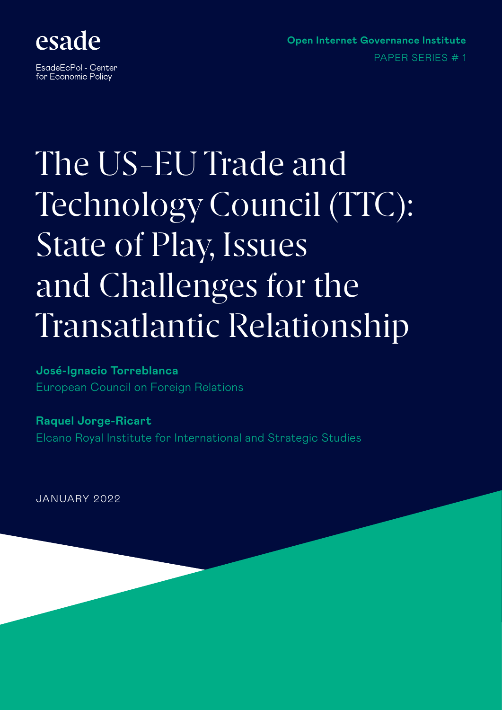

EsadeEcPol - Center for Economic Policy

**Open Internet Governance Institute** PAPER SERIES # 1

# The US-EU Trade and Technology Council (TTC): State of Play, Issues and Challenges for the Transatlantic Relationship

### **José-Ignacio Torreblanca**  European Council on Foreign Relations

**Raquel Jorge-Ricart**  Elcano Royal Institute for International and Strategic Studies

JANUARY 2022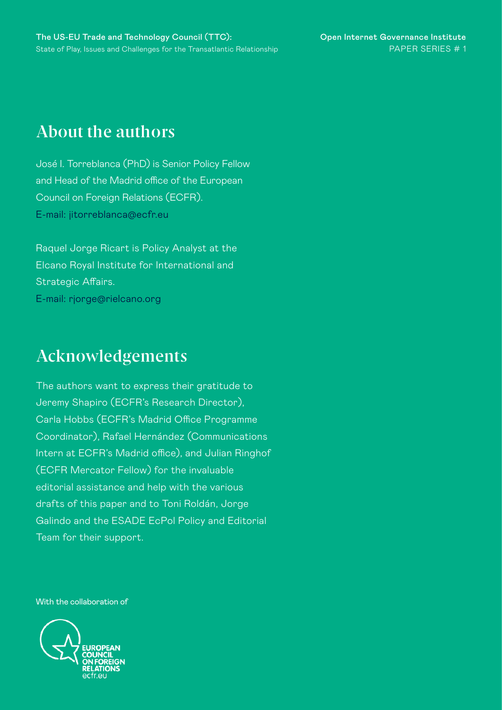### **About the authors**

José I. Torreblanca (PhD) is Senior Policy Fellow and Head of the Madrid office of the European Council on Foreign Relations (ECFR). E-mail: jitorreblanca@ecfr.eu

Raquel Jorge Ricart is Policy Analyst at the Elcano Royal Institute for International and Strategic Affairs. E-mail: rjorge@rielcano.org

## **Acknowledgements**

The authors want to express their gratitude to Jeremy Shapiro (ECFR's Research Director), Carla Hobbs (ECFR's Madrid Office Programme Coordinator), Rafael Hernández (Communications Intern at ECFR's Madrid office), and Julian Ringhof (ECFR Mercator Fellow) for the invaluable editorial assistance and help with the various drafts of this paper and to Toni Roldán, Jorge Galindo and the ESADE EcPol Policy and Editorial Team for their support.

With the collaboration of

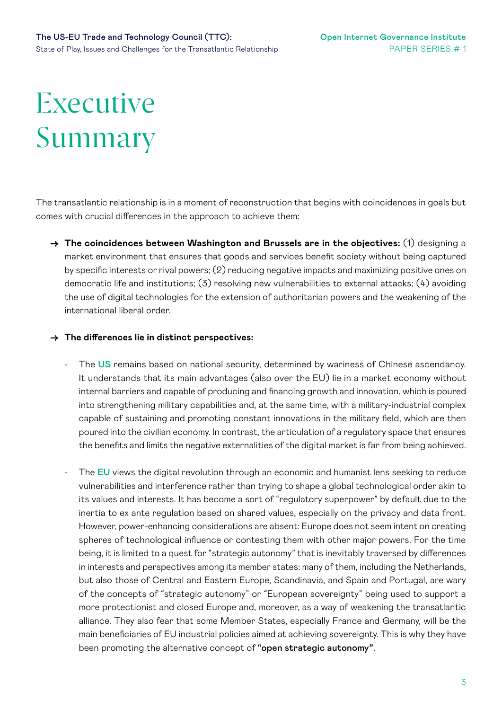# Executive Summary

The transatlantic relationship is in a moment of reconstruction that begins with coincidences in goals but comes with crucial differences in the approach to achieve them:

**→ The coincidences between Washington and Brussels are in the objectives:** (1) designing a market environment that ensures that goods and services benefit society without being captured by specific interests or rival powers; (2) reducing negative impacts and maximizing positive ones on democratic life and institutions; (3) resolving new vulnerabilities to external attacks; (4) avoiding the use of digital technologies for the extension of authoritarian powers and the weakening of the international liberal order.

#### **→ The differences lie in distinct perspectives:**

- The US remains based on national security, determined by wariness of Chinese ascendancy. It understands that its main advantages (also over the EU) lie in a market economy without internal barriers and capable of producing and financing growth and innovation, which is poured into strengthening military capabilities and, at the same time, with a military-industrial complex capable of sustaining and promoting constant innovations in the military field, which are then poured into the civilian economy. In contrast, the articulation of a regulatory space that ensures the benefits and limits the negative externalities of the digital market is far from being achieved.
- The EU views the digital revolution through an economic and humanist lens seeking to reduce vulnerabilities and interference rather than trying to shape a global technological order akin to its values and interests. It has become a sort of "regulatory superpower" by default due to the inertia to ex ante regulation based on shared values, especially on the privacy and data front. However, power-enhancing considerations are absent: Europe does not seem intent on creating spheres of technological influence or contesting them with other major powers. For the time being, it is limited to a quest for "strategic autonomy" that is inevitably traversed by differences in interests and perspectives among its member states: many of them, including the Netherlands, but also those of Central and Eastern Europe, Scandinavia, and Spain and Portugal, are wary of the concepts of "strategic autonomy" or "European sovereignty" being used to support a more protectionist and closed Europe and, moreover, as a way of weakening the transatlantic alliance. They also fear that some Member States, especially France and Germany, will be the main beneficiaries of EU industrial policies aimed at achieving sovereignty. This is why they have been promoting the alternative concept of "open strategic autonomy".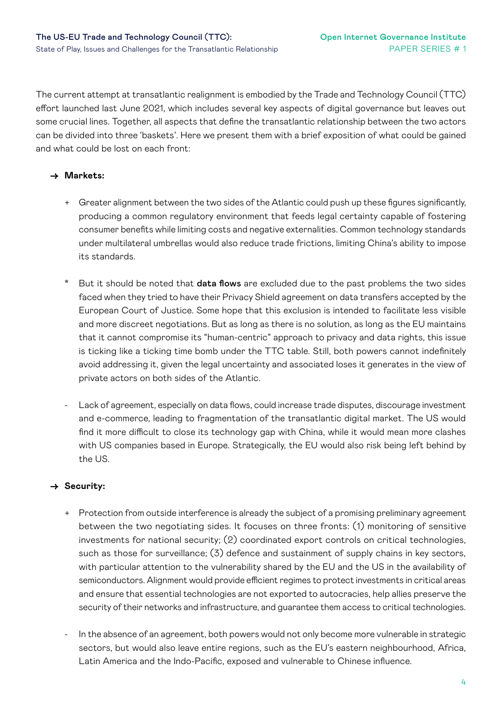The current attempt at transatlantic realignment is embodied by the Trade and Technology Council (TTC) effort launched last June 2021, which includes several key aspects of digital governance but leaves out some crucial lines. Together, all aspects that define the transatlantic relationship between the two actors can be divided into three 'baskets'. Here we present them with a brief exposition of what could be gained and what could be lost on each front:

#### **→ Markets:**

- + Greater alignment between the two sides of the Atlantic could push up these figures significantly, producing a common regulatory environment that feeds legal certainty capable of fostering consumer benefits while limiting costs and negative externalities. Common technology standards under multilateral umbrellas would also reduce trade frictions, limiting China's ability to impose its standards.
- \* But it should be noted that data flows are excluded due to the past problems the two sides faced when they tried to have their Privacy Shield agreement on data transfers accepted by the European Court of Justice. Some hope that this exclusion is intended to facilitate less visible and more discreet negotiations. But as long as there is no solution, as long as the EU maintains that it cannot compromise its "human-centric" approach to privacy and data rights, this issue is ticking like a ticking time bomb under the TTC table. Still, both powers cannot indefinitely avoid addressing it, given the legal uncertainty and associated loses it generates in the view of private actors on both sides of the Atlantic.
- Lack of agreement, especially on data flows, could increase trade disputes, discourage investment and e-commerce, leading to fragmentation of the transatlantic digital market. The US would find it more difficult to close its technology gap with China, while it would mean more clashes with US companies based in Europe. Strategically, the EU would also risk being left behind by the US.

#### **→ Security:**

- + Protection from outside interference is already the subject of a promising preliminary agreement between the two negotiating sides. It focuses on three fronts: (1) monitoring of sensitive investments for national security; (2) coordinated export controls on critical technologies, such as those for surveillance; (3) defence and sustainment of supply chains in key sectors, with particular attention to the vulnerability shared by the EU and the US in the availability of semiconductors. Alignment would provide efficient regimes to protect investments in critical areas and ensure that essential technologies are not exported to autocracies, help allies preserve the security of their networks and infrastructure, and guarantee them access to critical technologies.
- In the absence of an agreement, both powers would not only become more vulnerable in strategic sectors, but would also leave entire regions, such as the EU's eastern neighbourhood, Africa, Latin America and the Indo-Pacific, exposed and vulnerable to Chinese influence.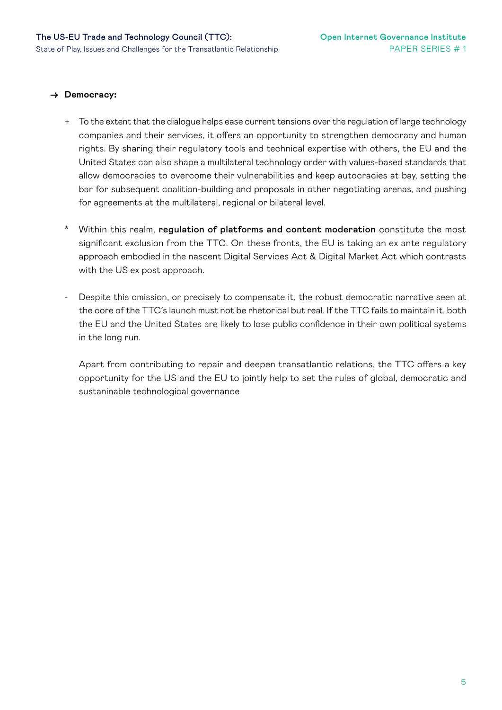#### **→ Democracy:**

- + To the extent that the dialogue helps ease current tensions over the regulation of large technology companies and their services, it offers an opportunity to strengthen democracy and human rights. By sharing their regulatory tools and technical expertise with others, the EU and the United States can also shape a multilateral technology order with values-based standards that allow democracies to overcome their vulnerabilities and keep autocracies at bay, setting the bar for subsequent coalition-building and proposals in other negotiating arenas, and pushing for agreements at the multilateral, regional or bilateral level.
- Within this realm, regulation of platforms and content moderation constitute the most significant exclusion from the TTC. On these fronts, the EU is taking an ex ante regulatory approach embodied in the nascent Digital Services Act & Digital Market Act which contrasts with the US ex post approach.
- Despite this omission, or precisely to compensate it, the robust democratic narrative seen at the core of the TTC's launch must not be rhetorical but real. If the TTC fails to maintain it, both the EU and the United States are likely to lose public confidence in their own political systems in the long run.

Apart from contributing to repair and deepen transatlantic relations, the TTC offers a key opportunity for the US and the EU to jointly help to set the rules of global, democratic and sustaninable technological governance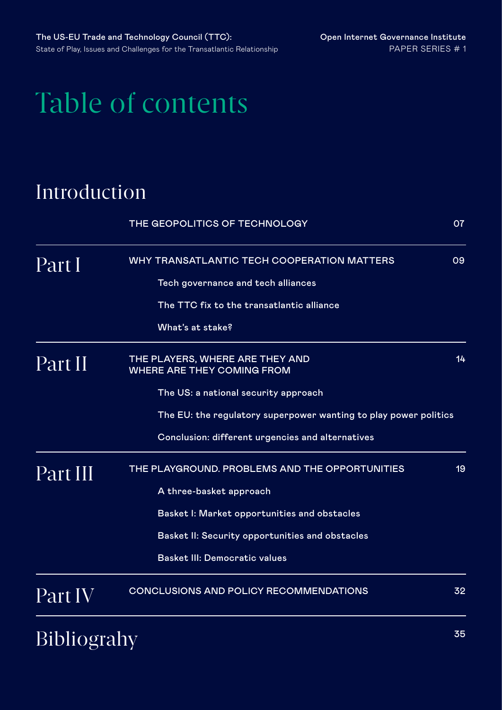# Table of contents

## [Introduction](#page-6-0)

|                    | THE GEOPOLITICS OF TECHNOLOGY                                        | 07 |  |
|--------------------|----------------------------------------------------------------------|----|--|
| Part I             | WHY TRANSATLANTIC TECH COOPERATION MATTERS                           |    |  |
|                    | Tech governance and tech alliances                                   |    |  |
|                    | The TTC fix to the transatlantic alliance                            |    |  |
|                    | What's at stake?                                                     |    |  |
| Part II            | THE PLAYERS, WHERE ARE THEY AND<br><b>WHERE ARE THEY COMING FROM</b> |    |  |
|                    | The US: a national security approach                                 |    |  |
|                    | The EU: the regulatory superpower wanting to play power politics     |    |  |
|                    | Conclusion: different urgencies and alternatives                     |    |  |
| Part III           | THE PLAYGROUND. PROBLEMS AND THE OPPORTUNITIES                       |    |  |
|                    | A three-basket approach                                              |    |  |
|                    | Basket I: Market opportunities and obstacles                         |    |  |
|                    | Basket II: Security opportunities and obstacles                      |    |  |
|                    | <b>Basket III: Democratic values</b>                                 |    |  |
| Part IV            | <b>CONCLUSIONS AND POLICY RECOMMENDATIONS</b>                        | 32 |  |
| <b>Bibliograhy</b> |                                                                      | 35 |  |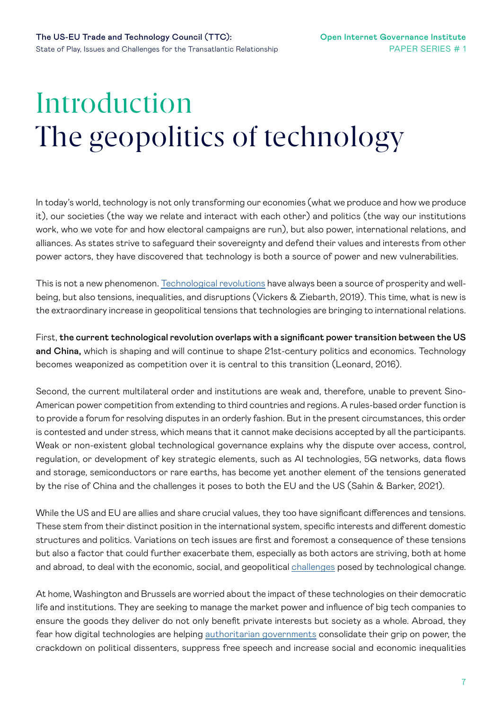# <span id="page-6-0"></span>Introduction The geopolitics of technology

In today's world, technology is not only transforming our economies (what we produce and how we produce it), our societies (the way we relate and interact with each other) and politics (the way our institutions work, who we vote for and how electoral campaigns are run), but also power, international relations, and alliances. As states strive to safeguard their sovereignty and defend their values and interests from other power actors, they have discovered that technology is both a source of power and new vulnerabilities.

This is not a new phenomenon. [Technological revolutions](https://www.un.org/en/file/71394/download?token=p3buYVUl) have always been a source of prosperity and wellbeing, but also tensions, inequalities, and disruptions (Vickers & Ziebarth, 2019). This time, what is new is the extraordinary increase in geopolitical tensions that technologies are bringing to international relations.

First, the current technological revolution overlaps with a significant power transition between the US and China, which is shaping and will continue to shape 21st-century politics and economics. Technology becomes weaponized as competition over it is central to this transition (Leonard, 2016).

Second, the current multilateral order and institutions are weak and, therefore, unable to prevent Sino-American power competition from extending to third countries and regions. A rules-based order function is to provide a forum for resolving disputes in an orderly fashion. But in the present circumstances, this order is contested and under stress, which means that it cannot make decisions accepted by all the participants. Weak or non-existent global technological governance explains why the dispute over access, control, regulation, or development of key strategic elements, such as AI technologies, 5G networks, data flows and storage, semiconductors or rare earths, has become yet another element of the tensions generated by the rise of China and the challenges it poses to both the EU and the US (Sahin & Barker, 2021).

While the US and EU are allies and share crucial values, they too have significant differences and tensions. These stem from their distinct position in the international system, specific interests and different domestic structures and politics. Variations on tech issues are first and foremost a consequence of these tensions but also a factor that could further exacerbate them, especially as both actors are striving, both at home and abroad, to deal with the economic, social, and geopolitical [challenges](https://dgap.org/sites/default/files/article_pdfs/210422_report-2021-6-en-tech.pdf) posed by technological change.

At home, Washington and Brussels are worried about the impact of these technologies on their democratic life and institutions. They are seeking to manage the market power and influence of big tech companies to ensure the goods they deliver do not only benefit private interests but society as a whole. Abroad, they fear how digital technologies are helping [authoritarian governments](https://carnegieendowment.org/files/WP-Feldstein-AISurveillance_final1.pdf) consolidate their grip on power, the crackdown on political dissenters, suppress free speech and increase social and economic inequalities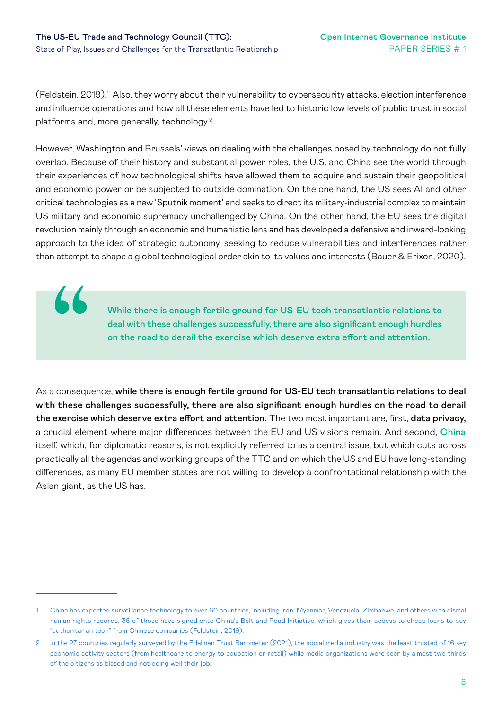66

(Feldstein, 2019). $^{\rm 1}$  Also, they worry about their vulnerability to cybersecurity attacks, election interference and influence operations and how all these elements have led to historic low levels of public trust in social platforms and, more generally, technology.<sup>2</sup>

However, Washington and Brussels' views on dealing with the challenges posed by technology do not fully overlap. Because of their history and substantial power roles, the U.S. and China see the world through their experiences of how technological shifts have allowed them to acquire and sustain their geopolitical and economic power or be subjected to outside domination. On the one hand, the US sees AI and other critical technologies as a new 'Sputnik moment' and seeks to direct its military-industrial complex to maintain US military and economic supremacy unchallenged by China. On the other hand, the EU sees the digital revolution mainly through an economic and humanistic lens and has developed a defensive and inward-looking approach to the idea of strategic autonomy, seeking to reduce vulnerabilities and interferences rather than attempt to shape a global technological order akin to its values and interests (Bauer & Erixon, 2020).

> While there is enough fertile ground for US-EU tech transatlantic relations to deal with these challenges successfully, there are also significant enough hurdles on the road to derail the exercise which deserve extra effort and attention.

As a consequence, while there is enough fertile ground for US-EU tech transatlantic relations to deal with these challenges successfully, there are also significant enough hurdles on the road to derail the exercise which deserve extra effort and attention. The two most important are, first, data privacy, a crucial element where major differences between the EU and US visions remain. And second, China itself, which, for diplomatic reasons, is not explicitly referred to as a central issue, but which cuts across practically all the agendas and working groups of the TTC and on which the US and EU have long-standing differences, as many EU member states are not willing to develop a confrontational relationship with the Asian giant, as the US has.

<sup>1</sup> China has exported surveillance technology to over 60 countries, including Iran, Myanmar, Venezuela, Zimbabwe, and others with dismal human rights records. 36 of those have signed onto China's Belt and Road Initiative, which gives them access to cheap loans to buy "authoritarian tech" from Chinese companies (Feldstein, 2019).

<sup>2</sup> In the 27 countries regularly surveyed by the Edelman Trust Barometer (2021), the social media industry was the least trusted of 16 key economic activity sectors (from healthcare to energy to education or retail) while media organizations were seen by almost two thirds of the citizens as biased and not doing well their job.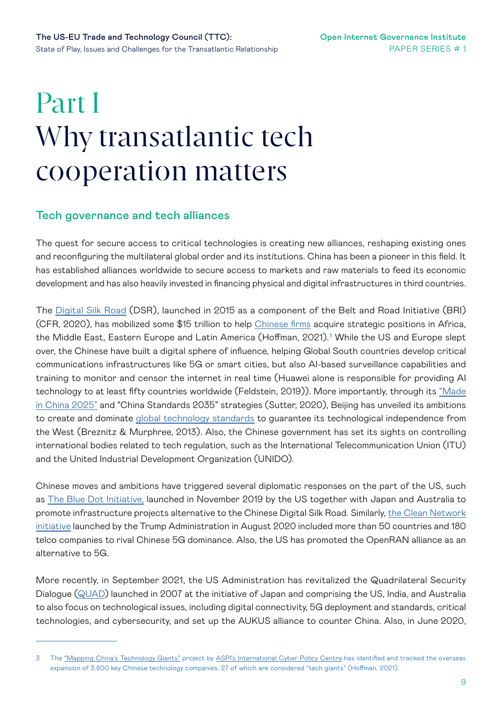# <span id="page-8-0"></span>Part I Why transatlantic tech cooperation matters

#### Tech governance and tech alliances

The quest for secure access to critical technologies is creating new alliances, reshaping existing ones and reconfiguring the multilateral global order and its institutions. China has been a pioneer in this field. It has established alliances worldwide to secure access to markets and raw materials to feed its economic development and has also heavily invested in financing physical and digital infrastructures in third countries.

The [Digital Silk Road](https://www.cfr.org/china-digital-silk-road/) (DSR), launched in 2015 as a component of the Belt and Road Initiative (BRI) (CFR, 2020), has mobilized some \$15 trillion to help [Chinese firms](https://www.aspistrategist.org.au/china-tech-giants-map-update-3-launch-major-updates/) acquire strategic positions in Africa, the Middle East, Eastern Europe and Latin America (Hoffman, 2021).<sup>3</sup> While the US and Europe slept over, the Chinese have built a digital sphere of influence, helping Global South countries develop critical communications infrastructures like 5G or smart cities, but also AI-based surveillance capabilities and training to monitor and censor the internet in real time (Huawei alone is responsible for providing AI technology to at least fifty countries worldwide (Feldstein, 2019)). More importantly, through its "Made [in China 2025"](https://sgp.fas.org/crs/row/IF10964.pdf) and "China Standards 2035" strategies (Sutter, 2020), Beijing has unveiled its ambitions to create and dominate [global technology standards](https://www.uscc.gov/sites/default/files/Research/RiseofChinainTechnologyStandards.pdf) to guarantee its technological independence from the West (Breznitz & Murphree, 2013). Also, the Chinese government has set its sights on controlling international bodies related to tech regulation, such as the International Telecommunication Union (ITU) and the United Industrial Development Organization (UNIDO).

Chinese moves and ambitions have triggered several diplomatic responses on the part of the US, such as [The Blue Dot Initiative,](https://www.state.gov/blue-dot-network/) launched in November 2019 by the US together with Japan and Australia to promote infrastructure projects alternative to the Chinese Digital Silk Road. Similarly, [the Clean Network](https://2017-2021.state.gov/the-clean-network/index.html)  [initiative](https://2017-2021.state.gov/the-clean-network/index.html) launched by the Trump Administration in August 2020 included more than 50 countries and 180 telco companies to rival Chinese 5G dominance. Also, the US has promoted the OpenRAN alliance as an alternative to 5G.

More recently, in September 2021, the US Administration has revitalized the Quadrilateral Security Dialogue [\(QUAD](https://www.whitehouse.gov/briefing-room/statements-releases/2021/09/24/fact-sheet-quad-leaders-summit/)) launched in 2007 at the initiative of Japan and comprising the US, India, and Australia to also focus on technological issues, including digital connectivity, 5G deployment and standards, critical technologies, and cybersecurity, and set up the AUKUS alliance to counter China. Also, in June 2020,

<sup>3</sup> The ["Mapping China's Technology Giants"](https://chinatechmap.aspi.org.au/#/homepage/) project by [ASPI's International Cyber Policy Centre](https://www.aspi.org.au/program/international-cyber-policy-centre) has identified and tracked the overseas expansion of 3.800 key Chinese technology companies, 27 of which are considered "tech giants" (Hoffman, 2021).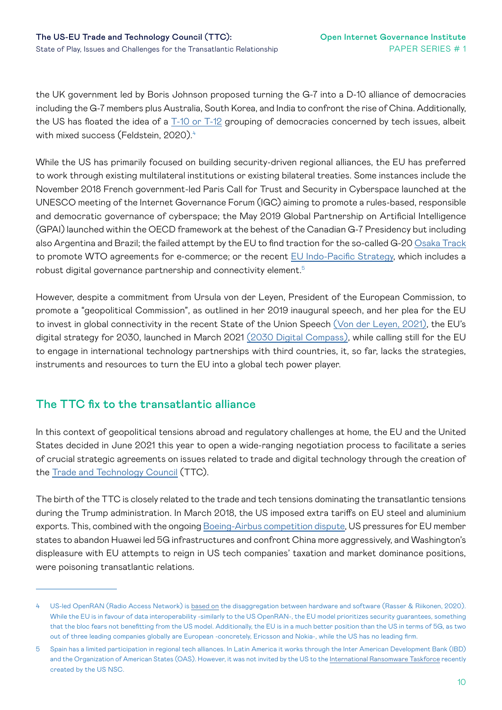the UK government led by Boris Johnson proposed turning the G-7 into a D-10 alliance of democracies including the G-7 members plus Australia, South Korea, and India to confront the rise of China. Additionally, the US has floated the idea of a [T-10 or T-12](https://www.cfr.org/blog/how-should-democracies-confront-chinas-digital-rise-weighing-merits-t-10-alliance) grouping of democracies concerned by tech issues, albeit with mixed success (Feldstein, 2020).<sup>4</sup>

While the US has primarily focused on building security-driven regional alliances, the EU has preferred to work through existing multilateral institutions or existing bilateral treaties. Some instances include the November 2018 French government-led Paris Call for Trust and Security in Cyberspace launched at the UNESCO meeting of the Internet Governance Forum (IGC) aiming to promote a rules-based, responsible and democratic governance of cyberspace; the May 2019 Global Partnership on Artificial Intelligence (GPAI) launched within the OECD framework at the behest of the Canadian G-7 Presidency but including also Argentina and Brazil; the failed attempt by the EU to find traction for the so-called G-20 Osaka Track to promote WTO agreements for e-commerce; or the recent [EU Indo-Pacific Strategy,](https://eeas.europa.eu/sites/default/files/eu-indo-pacific_factsheet_2021-09_final.pdf) which includes a robust digital governance partnership and connectivity element.5

However, despite a commitment from Ursula von der Leyen, President of the European Commission, to promote a "geopolitical Commission", as outlined in her 2019 inaugural speech, and her plea for the EU to invest in global connectivity in the recent State of the Union Speech [\(Von der Leyen, 2021\),](https://ec.europa.eu/commission/presscorner/detail/ov/SPEECH_21_4701) the EU's digital strategy for 2030, launched in March 2021 [\(2030 Digital Compass\),](https://eur-lex.europa.eu/resource.html?uri=cellar:12e835e2-81af-11eb-9ac9-01aa75ed71a1.0001.02/DOC_1&format=PDF) while calling still for the EU to engage in international technology partnerships with third countries, it, so far, lacks the strategies, instruments and resources to turn the EU into a global tech power player.

#### The TTC fix to the transatlantic alliance

In this context of geopolitical tensions abroad and regulatory challenges at home, the EU and the United States decided in June 2021 this year to open a wide-ranging negotiation process to facilitate a series of crucial strategic agreements on issues related to trade and digital technology through the creation of the [Trade and Technology Council](https://ec.europa.eu/commission/presscorner/detail/en/IP_21_2990) (TTC).

The birth of the TTC is closely related to the trade and tech tensions dominating the transatlantic tensions during the Trump administration. In March 2018, the US imposed extra tariffs on EU steel and aluminium exports. This, combined with the ongoing [Boeing-Airbus competition dispute,](https://ec.europa.eu/commission/presscorner/detail/en/QANDA_20_2348) US pressures for EU member states to abandon Huawei led 5G infrastructures and confront China more aggressively, and Washington's displeasure with EU attempts to reign in US tech companies' taxation and market dominance positions, were poisoning transatlantic relations.

<sup>4</sup> US-led OpenRAN (Radio Access Network) is [based on](https://s3.us-east-1.amazonaws.com/files.cnas.org/documents/Open-Future-The-Way-Forward-on-5G-final1-min.pdf?mtime=20200811091437&focal=none) the disaggregation between hardware and software (Rasser & Riikonen, 2020). While the EU is in favour of data interoperability -similarly to the US OpenRAN-, the EU model prioritizes security guarantees, something that the bloc fears not benefitting from the US model. Additionally, the EU is in a much better position than the US in terms of 5G, as two out of three leading companies globally are European -concretely, Ericsson and Nokia-, while the US has no leading firm.

<sup>5</sup> Spain has a limited participation in regional tech alliances. In Latin America it works through the Inter American Development Bank (IBD) and the Organization of American States (OAS). However, it was not invited by the US to the [International Ransomware Taskforce](https://edition.cnn.com/2021/10/01/politics/blinken-cybersecurity-alliance/index.html) recently created by the US NSC.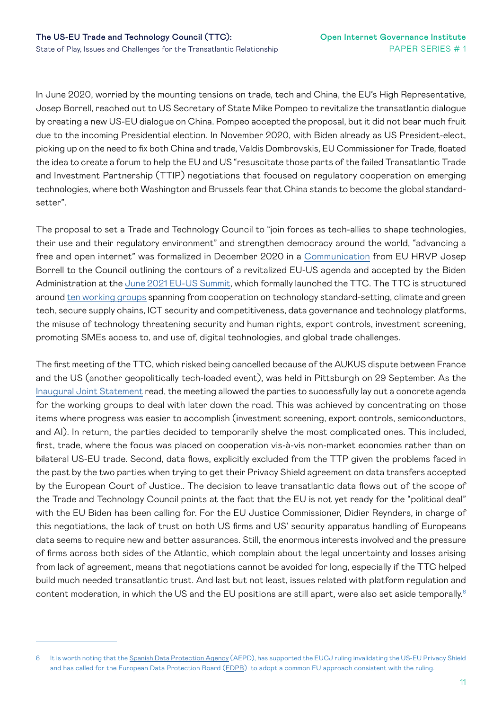In June 2020, worried by the mounting tensions on trade, tech and China, the EU's High Representative, Josep Borrell, reached out to US Secretary of State Mike Pompeo to revitalize the transatlantic dialogue by creating a new US-EU dialogue on China. Pompeo accepted the proposal, but it did not bear much fruit due to the incoming Presidential election. In November 2020, with Biden already as US President-elect, picking up on the need to fix both China and trade, Valdis Dombrovskis, EU Commissioner for Trade, floated the idea to create a forum to help the EU and US "resuscitate those parts of the failed Transatlantic Trade and Investment Partnership (TTIP) negotiations that focused on regulatory cooperation on emerging technologies, where both Washington and Brussels fear that China stands to become the global standardsetter".

The proposal to set a Trade and Technology Council to "join forces as tech-allies to shape technologies, their use and their regulatory environment" and strengthen democracy around the world, "advancing a free and open internet" was formalized in December 2020 in a [Communication](https://ec.europa.eu/info/sites/default/files/joint-communication-eu-us-agenda_en.pdf) from EU HRVP Josep Borrell to the Council outlining the contours of a revitalized EU-US agenda and accepted by the Biden Administration at the [June 2021 EU-US Summit](https://www.consilium.europa.eu/media/50758/eu-us-summit-joint-statement-15-june-final-final.pdf), which formally launched the TTC. The TTC is structured around [ten working groups](https://ec.europa.eu/commission/presscorner/detail/en/IP_21_2990) spanning from cooperation on technology standard-setting, climate and green tech, secure supply chains, ICT security and competitiveness, data governance and technology platforms, the misuse of technology threatening security and human rights, export controls, investment screening, promoting SMEs access to, and use of, digital technologies, and global trade challenges.

The first meeting of the TTC, which risked being cancelled because of the AUKUS dispute between France and the US (another geopolitically tech-loaded event), was held in Pittsburgh on 29 September. As the [Inaugural Joint Statement](https://ec.europa.eu/commission/presscorner/detail/en/statement_21_4951?utm_source=POLITICO.EU&utm_campaign=c242a3d38a-EMAIL_CAMPAIGN_2021_09_30_05_05&utm_medium=email&utm_term=0_10959edeb5-c242a3d38a-189753413) read, the meeting allowed the parties to successfully lay out a concrete agenda for the working groups to deal with later down the road. This was achieved by concentrating on those items where progress was easier to accomplish (investment screening, export controls, semiconductors, and AI). In return, the parties decided to temporarily shelve the most complicated ones. This included, first, trade, where the focus was placed on cooperation vis-à-vis non-market economies rather than on bilateral US-EU trade. Second, data flows, explicitly excluded from the TTP given the problems faced in the past by the two parties when trying to get their Privacy Shield agreement on data transfers accepted by the European Court of Justice.. The decision to leave transatlantic data flows out of the scope of the Trade and Technology Council points at the fact that the EU is not yet ready for the "political deal" with the EU Biden has been calling for. For the EU Justice Commissioner, Didier Reynders, in charge of this negotiations, the lack of trust on both US firms and US' security apparatus handling of Europeans data seems to require new and better assurances. Still, the enormous interests involved and the pressure of firms across both sides of the Atlantic, which complain about the legal uncertainty and losses arising from lack of agreement, means that negotiations cannot be avoided for long, especially if the TTC helped build much needed transatlantic trust. And last but not least, issues related with platform regulation and content moderation, in which the US and the EU positions are still apart, were also set aside temporally.<sup>6</sup>

<sup>6</sup> It is worth noting that the [Spanish Data Protection Agency](https://www.aepd.es/es/derechos-y-deberes/cumple-tus-deberes/medidas-de-cumplimiento/transferencias-internacionales/comunicado-privacy-shield) (AEPD), has supported the EUCJ ruling invalidating the US-EU Privacy Shield and has called for the European Data Protection Board ([EDPB\)](https://edpb.europa.eu/news/news/2020/european-data-protection-board-thirty-fourth-plenary-session-schrems-ii-interplay_en) to adopt a common EU approach consistent with the ruling.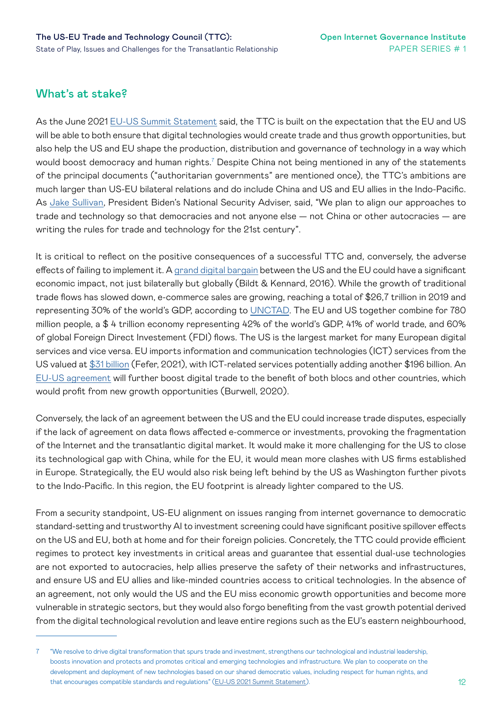### What's at stake?

As the June 2021 [EU-US Summit Statement](https://www.consilium.europa.eu/media/50758/eu-us-summit-joint-statement-15-june-final-final.pdf) said, the TTC is built on the expectation that the EU and US will be able to both ensure that digital technologies would create trade and thus growth opportunities, but also help the US and EU shape the production, distribution and governance of technology in a way which would boost democracy and human rights.<sup>7</sup> Despite China not being mentioned in any of the statements of the principal documents ("authoritarian governments" are mentioned once), the TTC's ambitions are much larger than US-EU bilateral relations and do include China and US and EU allies in the Indo-Pacific. As [Jake Sullivan,](https://www.whitehouse.gov/briefing-room/press-briefings/2021/06/07/press-briefing-by-press-secretary-jen-psaki-and-national-security-advisor-jake-sullivan-june-7-2021/) President Biden's National Security Adviser, said, "We plan to align our approaches to trade and technology so that democracies and not anyone else — not China or other autocracies — are writing the rules for trade and technology for the 21st century".

It is critical to reflect on the positive consequences of a successful TTC and, conversely, the adverse effects of failing to implement it. A [grand digital bargain](https://www.atlanticcouncil.org/wp-content/uploads/2016/04/Building_a_Transatlantic_Digital_Marketplace_web_0406.pdf) between the US and the EU could have a significant economic impact, not just bilaterally but globally (Bildt & Kennard, 2016). While the growth of traditional trade flows has slowed down, e-commerce sales are growing, reaching a total of \$26,7 trillion in 2019 and representing 30% of the world's GDP, according to [UNCTAD](https://unctad.org/system/files/official-document/tn_unctad_ict4d18_en.pdf). The EU and US together combine for 780 million people, a \$ 4 trillion economy representing 42% of the world's GDP, 41% of world trade, and 60% of global Foreign Direct Investement (FDI) flows. The US is the largest market for many European digital services and vice versa. EU imports information and communication technologies (ICT) services from the US valued at [\\$31 billion](https://crsreports.congress.gov/product/pdf/R/R46732) (Fefer, 2021), with ICT-related services potentially adding another \$196 billion. An [EU-US agreement](https://www.atlanticcouncil.org/wp-content/uploads/2020/12/A-Transatlantic-Digital-Agenda-for-the-Biden-Administration.pdf) will further boost digital trade to the benefit of both blocs and other countries, which would profit from new growth opportunities (Burwell, 2020).

Conversely, the lack of an agreement between the US and the EU could increase trade disputes, especially if the lack of agreement on data flows affected e-commerce or investments, provoking the fragmentation of the Internet and the transatlantic digital market. It would make it more challenging for the US to close its technological gap with China, while for the EU, it would mean more clashes with US firms established in Europe. Strategically, the EU would also risk being left behind by the US as Washington further pivots to the Indo-Pacific. In this region, the EU footprint is already lighter compared to the US.

From a security standpoint, US-EU alignment on issues ranging from internet governance to democratic standard-setting and trustworthy AI to investment screening could have significant positive spillover effects on the US and EU, both at home and for their foreign policies. Concretely, the TTC could provide efficient regimes to protect key investments in critical areas and guarantee that essential dual-use technologies are not exported to autocracies, help allies preserve the safety of their networks and infrastructures, and ensure US and EU allies and like-minded countries access to critical technologies. In the absence of an agreement, not only would the US and the EU miss economic growth opportunities and become more vulnerable in strategic sectors, but they would also forgo benefiting from the vast growth potential derived from the digital technological revolution and leave entire regions such as the EU's eastern neighbourhood,

<sup>7</sup> "We resolve to drive digital transformation that spurs trade and investment, strengthens our technological and industrial leadership, boosts innovation and protects and promotes critical and emerging technologies and infrastructure. We plan to cooperate on the development and deployment of new technologies based on our shared democratic values, including respect for human rights, and that encourages compatible standards and regulations" ([EU-US 2021 Summit Statement\)](https://www.consilium.europa.eu/media/50758/eu-us-summit-joint-statement-15-june-final-final.pdf).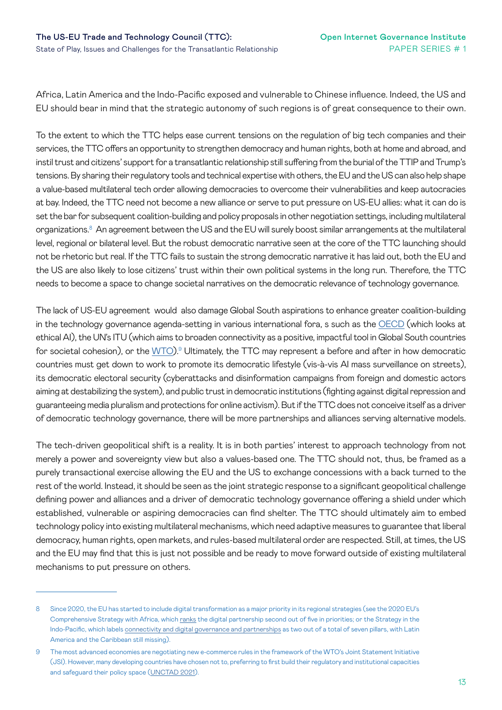Africa, Latin America and the Indo-Pacific exposed and vulnerable to Chinese influence. Indeed, the US and EU should bear in mind that the strategic autonomy of such regions is of great consequence to their own.

To the extent to which the TTC helps ease current tensions on the regulation of big tech companies and their services, the TTC offers an opportunity to strengthen democracy and human rights, both at home and abroad, and instil trust and citizens' support for a transatlantic relationship still suffering from the burial of the TTIP and Trump's tensions. By sharing their regulatory tools and technical expertise with others, the EU and the US can also help shape a value-based multilateral tech order allowing democracies to overcome their vulnerabilities and keep autocracies at bay. Indeed, the TTC need not become a new alliance or serve to put pressure on US-EU allies: what it can do is set the bar for subsequent coalition-building and policy proposals in other negotiation settings, including multilateral organizations. $^8$  An agreement between the US and the EU will surely boost similar arrangements at the multilateral level, regional or bilateral level. But the robust democratic narrative seen at the core of the TTC launching should not be rhetoric but real. If the TTC fails to sustain the strong democratic narrative it has laid out, both the EU and the US are also likely to lose citizens' trust within their own political systems in the long run. Therefore, the TTC needs to become a space to change societal narratives on the democratic relevance of technology governance.

The lack of US-EU agreement would also damage Global South aspirations to enhance greater coalition-building in the technology governance agenda-setting in various international fora, s such as the [OECD](https://legalinstruments.oecd.org/en/instruments/OECD-LEGAL-0449) (which looks at ethical AI), the UN's ITU (which aims to broaden connectivity as a positive, impactful tool in Global South countries for societal cohesion), or the [WTO](https://unctad.org/webflyer/what-stake-developing-countries-trade-negotiations-e-commerce)).<sup>9</sup> Ultimately, the TTC may represent a before and after in how democratic countries must get down to work to promote its democratic lifestyle (vis-à-vis AI mass surveillance on streets), its democratic electoral security (cyberattacks and disinformation campaigns from foreign and domestic actors aiming at destabilizing the system), and public trust in democratic institutions (fighting against digital repression and guaranteeing media pluralism and protections for online activism). But if the TTC does not conceive itself as a driver of democratic technology governance, there will be more partnerships and alliances serving alternative models.

The tech-driven geopolitical shift is a reality. It is in both parties' interest to approach technology from not merely a power and sovereignty view but also a values-based one. The TTC should not, thus, be framed as a purely transactional exercise allowing the EU and the US to exchange concessions with a back turned to the rest of the world. Instead, it should be seen as the joint strategic response to a significant geopolitical challenge defining power and alliances and a driver of democratic technology governance offering a shield under which established, vulnerable or aspiring democracies can find shelter. The TTC should ultimately aim to embed technology policy into existing multilateral mechanisms, which need adaptive measures to guarantee that liberal democracy, human rights, open markets, and rules-based multilateral order are respected. Still, at times, the US and the EU may find that this is just not possible and be ready to move forward outside of existing multilateral mechanisms to put pressure on others.

<sup>8</sup> Since 2020, the EU has started to include digital transformation as a major priority in its regional strategies (see the 2020 EU's Comprehensive Strategy with Africa, which [ranks](https://ec.europa.eu/international-partnerships/system/files/communication-eu-africa-strategy-join-2020-4-final_en.pdf) the digital partnership second out of five in priorities; or the Strategy in the Indo-Pacific, which labels [connectivity and digital governance and partnerships](https://ec.europa.eu/info/sites/default/files/jointcommunication_indo_pacific_en.pdf) as two out of a total of seven pillars, with Latin America and the Caribbean still missing).

<sup>9</sup> The most advanced economies are negotiating new e-commerce rules in the framework of the WTO's Joint Statement Initiative (JSI). However, many developing countries have chosen not to, preferring to first build their regulatory and institutional capacities and safeguard their policy space ([UNCTAD 2021](https://unctad.org/system/files/official-document/ditctncd2020d5_en.pdf)).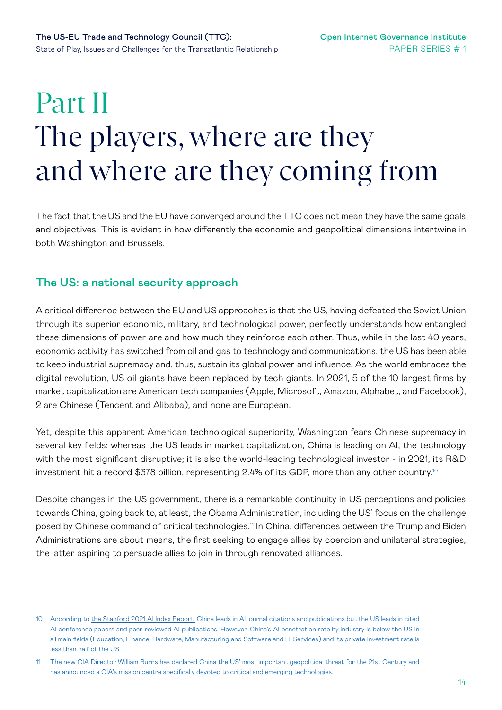# <span id="page-13-0"></span>Part II The players, where are they and where are they coming from

The fact that the US and the EU have converged around the TTC does not mean they have the same goals and objectives. This is evident in how differently the economic and geopolitical dimensions intertwine in both Washington and Brussels.

### The US: a national security approach

A critical difference between the EU and US approaches is that the US, having defeated the Soviet Union through its superior economic, military, and technological power, perfectly understands how entangled these dimensions of power are and how much they reinforce each other. Thus, while in the last 40 years, economic activity has switched from oil and gas to technology and communications, the US has been able to keep industrial supremacy and, thus, sustain its global power and influence. As the world embraces the digital revolution, US oil giants have been replaced by tech giants. In 2021, 5 of the 10 largest firms by market capitalization are American tech companies (Apple, Microsoft, Amazon, Alphabet, and Facebook), 2 are Chinese (Tencent and Alibaba), and none are European.

Yet, despite this apparent American technological superiority, Washington fears Chinese supremacy in several key fields: whereas the US leads in market capitalization, China is leading on AI, the technology with the most significant disruptive; it is also the world-leading technological investor - in 2021, its R&D investment hit a record \$378 billion, representing 2.4% of its GDP, more than any other country.<sup>10</sup>

Despite changes in the US government, there is a remarkable continuity in US perceptions and policies towards China, going back to, at least, the Obama Administration, including the US' focus on the challenge posed by Chinese command of critical technologies.<sup>11</sup> In China, differences between the Trump and Biden Administrations are about means, the first seeking to engage allies by coercion and unilateral strategies, the latter aspiring to persuade allies to join in through renovated alliances.

<sup>10</sup> According to [the Stanford 2021 AI Index Report,](https://aiindex.stanford.edu/wp-content/uploads/2021/03/2021-AI-Index-Report_Master.pdf) China leads in AI journal citations and publications but the US leads in cited AI conference papers and peer-reviewed AI publications. However, China's AI penetration rate by industry is below the US in all main fields (Education, Finance, Hardware, Manufacturing and Software and IT Services) and its private investment rate is less than half of the US.

<sup>11</sup> The new CIA Director William Burns has declared China the US' most important geopolitical threat for the 21st Century and has announced a CIA's mission centre specifically devoted to critical and emerging technologies.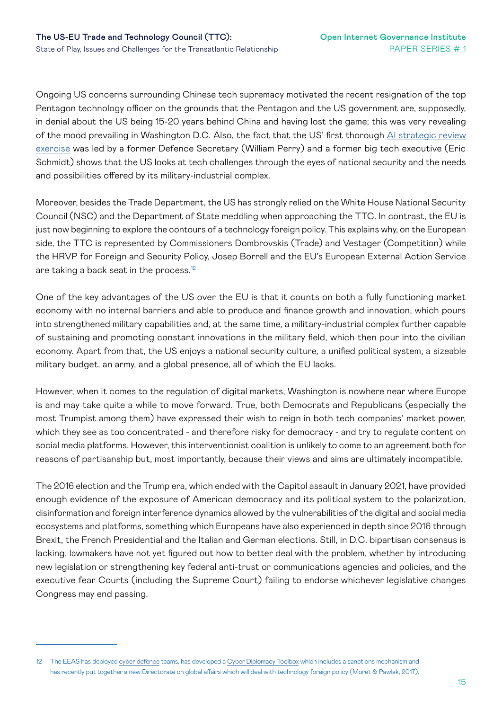Ongoing US concerns surrounding Chinese tech supremacy motivated the recent resignation of the top Pentagon technology officer on the grounds that the Pentagon and the US government are, supposedly, in denial about the US being 15-20 years behind China and having lost the game; this was very revealing of the mood prevailing in Washington D.C. Also, the fact that the US' first thorough [AI strategic review](https://www.nscai.gov/2021-final-report/)  [exercise](https://www.nscai.gov/2021-final-report/) was led by a former Defence Secretary (William Perry) and a former big tech executive (Eric Schmidt) shows that the US looks at tech challenges through the eyes of national security and the needs and possibilities offered by its military-industrial complex.

Moreover, besides the Trade Department, the US has strongly relied on the White House National Security Council (NSC) and the Department of State meddling when approaching the TTC. In contrast, the EU is just now beginning to explore the contours of a technology foreign policy. This explains why, on the European side, the TTC is represented by Commissioners Dombrovskis (Trade) and Vestager (Competition) while the HRVP for Foreign and Security Policy, Josep Borrell and the EU's European External Action Service are taking a back seat in the process.<sup>12</sup>

One of the key advantages of the US over the EU is that it counts on both a fully functioning market economy with no internal barriers and able to produce and finance growth and innovation, which pours into strengthened military capabilities and, at the same time, a military-industrial complex further capable of sustaining and promoting constant innovations in the military field, which then pour into the civilian economy. Apart from that, the US enjoys a national security culture, a unified political system, a sizeable military budget, an army, and a global presence, all of which the EU lacks.

However, when it comes to the regulation of digital markets, Washington is nowhere near where Europe is and may take quite a while to move forward. True, both Democrats and Republicans (especially the most Trumpist among them) have expressed their wish to reign in both tech companies' market power, which they see as too concentrated - and therefore risky for democracy - and try to regulate content on social media platforms. However, this interventionist coalition is unlikely to come to an agreement both for reasons of partisanship but, most importantly, because their views and aims are ultimately incompatible.

The 2016 election and the Trump era, which ended with the Capitol assault in January 2021, have provided enough evidence of the exposure of American democracy and its political system to the polarization, disinformation and foreign interference dynamics allowed by the vulnerabilities of the digital and social media ecosystems and platforms, something which Europeans have also experienced in depth since 2016 through Brexit, the French Presidential and the Italian and German elections. Still, in D.C. bipartisan consensus is lacking, lawmakers have not yet figured out how to better deal with the problem, whether by introducing new legislation or strengthening key federal anti-trust or communications agencies and policies, and the executive fear Courts (including the Supreme Court) failing to endorse whichever legislative changes Congress may end passing.

<sup>12</sup> The EEAS has deployed [cyber defence](https://www.europarl.europa.eu/doceo/document/A-9-2021-0234_EN.pdf) teams, has developed a [Cyber Diplomacy Toolbox](https://www.iss.europa.eu/sites/default/files/EUISSFiles/Brief 24 Cyber sanctions.pdf) which includes a sanctions mechanism and has recently put together a new Directorate on global affairs which will deal with technology foreign policy (Moret & Pawlak, 2017).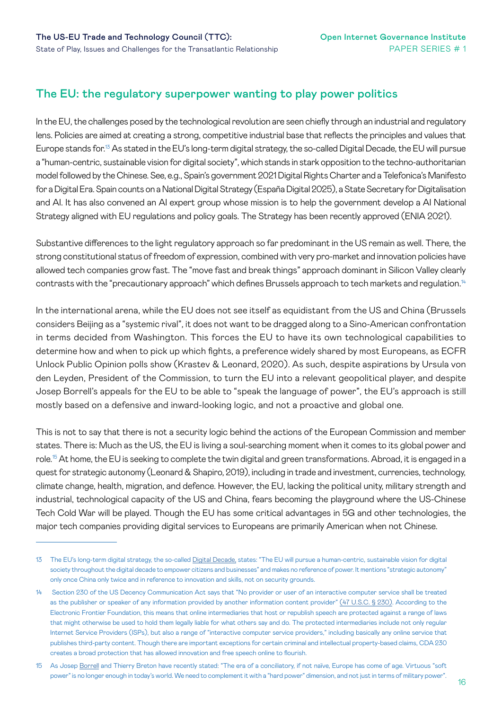### The EU: the regulatory superpower wanting to play power politics

In the EU, the challenges posed by the technological revolution are seen chiefly through an industrial and regulatory lens. Policies are aimed at creating a strong, competitive industrial base that reflects the principles and values that Europe stands for.<sup>13</sup> As stated in the EU's long-term digital strategy, the so-called Digital Decade, the EU will pursue a "human-centric, sustainable vision for digital society", which stands in stark opposition to the techno-authoritarian model followed by the Chinese. See, e.g., Spain's government 2021 Digital Rights Charter and a Telefonica's Manifesto for a Digital Era. Spain counts on a National Digital Strategy (España Digital 2025), a State Secretary for Digitalisation and AI. It has also convened an AI expert group whose mission is to help the government develop a AI National Strategy aligned with EU regulations and policy goals. The Strategy has been recently approved (ENIA 2021).

Substantive differences to the light regulatory approach so far predominant in the US remain as well. There, the strong constitutional status of freedom of expression, combined with very pro-market and innovation policies have allowed tech companies grow fast. The "move fast and break things" approach dominant in Silicon Valley clearly contrasts with the "precautionary approach" which defines Brussels approach to tech markets and regulation.14

In the international arena, while the EU does not see itself as equidistant from the US and China (Brussels considers Beijing as a "systemic rival", it does not want to be dragged along to a Sino-American confrontation in terms decided from Washington. This forces the EU to have its own technological capabilities to determine how and when to pick up which fights, a preference widely shared by most Europeans, as ECFR Unlock Public Opinion polls show (Krastev & Leonard, 2020). As such, despite aspirations by Ursula von den Leyden, President of the Commission, to turn the EU into a relevant geopolitical player, and despite Josep Borrell's appeals for the EU to be able to "speak the language of power", the EU's approach is still mostly based on a defensive and inward-looking logic, and not a proactive and global one.

This is not to say that there is not a security logic behind the actions of the European Commission and member states. There is: Much as the US, the EU is living a soul-searching moment when it comes to its global power and role.<sup>15</sup> At home, the EU is seeking to complete the twin digital and green transformations. Abroad, it is engaged in a quest for strategic autonomy (Leonard & Shapiro, 2019), including in trade and investment, currencies, technology, climate change, health, migration, and defence. However, the EU, lacking the political unity, military strength and industrial, technological capacity of the US and China, fears becoming the playground where the US-Chinese Tech Cold War will be played. Though the EU has some critical advantages in 5G and other technologies, the major tech companies providing digital services to Europeans are primarily American when not Chinese.

<sup>13</sup> The EU's long-term digital strategy, the so-called [Digital Decade,](https://digital-strategy.ec.europa.eu/en/policies/europes-digital-decade) states: "The EU will pursue a human-centric, sustainable vision for digital society throughout the digital decade to empower citizens and businesses" and makes no reference of power. It mentions "strategic autonomy" only once China only twice and in reference to innovation and skills, not on security grounds.

<sup>14</sup> Section 230 of the US Decency Communication Act says that "No provider or user of an interactive computer service shall be treated as the publisher or speaker of any information provided by another information content provider" [\(47 U.S.C. § 230\)](http://www.law.cornell.edu/uscode/text/47/230). According to the Electronic Frontier Foundation, this means that online intermediaries that host or republish speech are protected against a range of laws that might otherwise be used to hold them legally liable for what others say and do. The protected intermediaries include not only regular Internet Service Providers (ISPs), but also a range of "interactive computer service providers," including basically any online service that publishes third-party content. Though there are important exceptions for certain criminal and intellectual property-based claims, CDA 230 creates a broad protection that has allowed innovation and free speech online to flourish.

<sup>15</sup> As Josep [Borrell](https://ec.europa.eu/commission/commissioners/2019-2024/breton/announcements/united-resilient-and-sovereign-europe_en) and Thierry Breton have recently stated: "The era of a conciliatory, if not naïve, Europe has come of age. Virtuous "soft power" is no longer enough in today's world. We need to complement it with a "hard power" dimension, and not just in terms of military power".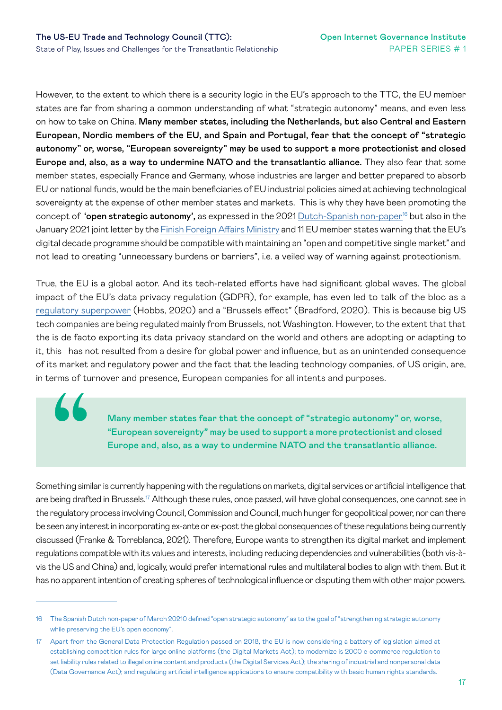44

However, to the extent to which there is a security logic in the EU's approach to the TTC, the EU member states are far from sharing a common understanding of what "strategic autonomy" means, and even less on how to take on China. Many member states, including the Netherlands, but also Central and Eastern European, Nordic members of the EU, and Spain and Portugal, fear that the concept of "strategic autonomy" or, worse, "European sovereignty" may be used to support a more protectionist and closed Europe and, also, as a way to undermine NATO and the transatlantic alliance. They also fear that some member states, especially France and Germany, whose industries are larger and better prepared to absorb EU or national funds, would be the main beneficiaries of EU industrial policies aimed at achieving technological sovereignty at the expense of other member states and markets. This is why they have been promoting the concept of 'open strategic autonomy', as expressed in the 2021 [Dutch-Spanish non-paper](https://www.permanentrepresentations.nl/documents/publications/2021/03/24/non-paper-on-strategic-autonomy)<sup>16</sup> but also in the January 2021 joint letter by the [Finish Foreign Affairs Ministry](https://tem.fi/documents/1410877/53440649/D9%2B+Declaration.pdf/536c1b37-2b93-57d6-1313-bfe943f3c17e?t=1611759617528) and 11 EU member states warning that the EU's digital decade programme should be compatible with maintaining an "open and competitive single market" and not lead to creating "unnecessary burdens or barriers", i.e. a veiled way of warning against protectionism.

True, the EU is a global actor. And its tech-related efforts have had significant global waves. The global impact of the EU's data privacy regulation (GDPR), for example, has even led to talk of the bloc as a [regulatory superpower](https://ecfr.eu/publication/europe_digital_sovereignty_rulemaker_superpower_age_us_china_rivalry/) (Hobbs, 2020) and a "Brussels effect" (Bradford, 2020). This is because big US tech companies are being regulated mainly from Brussels, not Washington. However, to the extent that that the is de facto exporting its data privacy standard on the world and others are adopting or adapting to it, this has not resulted from a desire for global power and influence, but as an unintended consequence of its market and regulatory power and the fact that the leading technology companies, of US origin, are, in terms of turnover and presence, European companies for all intents and purposes.

> Many member states fear that the concept of "strategic autonomy" or, worse, "European sovereignty" may be used to support a more protectionist and closed Europe and, also, as a way to undermine NATO and the transatlantic alliance.

Something similar is currently happening with the regulations on markets, digital services or artificial intelligence that are being drafted in Brussels.<sup>17</sup> Although these rules, once passed, will have global consequences, one cannot see in the regulatory process involving Council, Commission and Council, much hunger for geopolitical power, nor can there be seen any interest in incorporating ex-ante or ex-post the global consequences of these regulations being currently discussed (Franke & Torreblanca, 2021). Therefore, Europe wants to strengthen its digital market and implement regulations compatible with its values and interests, including reducing dependencies and vulnerabilities (both vis-àvis the US and China) and, logically, would prefer international rules and multilateral bodies to align with them. But it has no apparent intention of creating spheres of technological influence or disputing them with other major powers.

<sup>16</sup> The Spanish Dutch non-paper of March 20210 defined "open strategic autonomy" as to the goal of "strengthening strategic autonomy while preserving the EU's open economy".

<sup>17</sup> Apart from the General Data Protection Regulation passed on 2018, the EU is now considering a battery of legislation aimed at establishing competition rules for large online platforms (the Digital Markets Act); to modernize is 2000 e-commerce regulation to set liability rules related to illegal online content and products (the Digital Services Act); the sharing of industrial and nonpersonal data (Data Governance Act); and regulating artificial intelligence applications to ensure compatibility with basic human rights standards.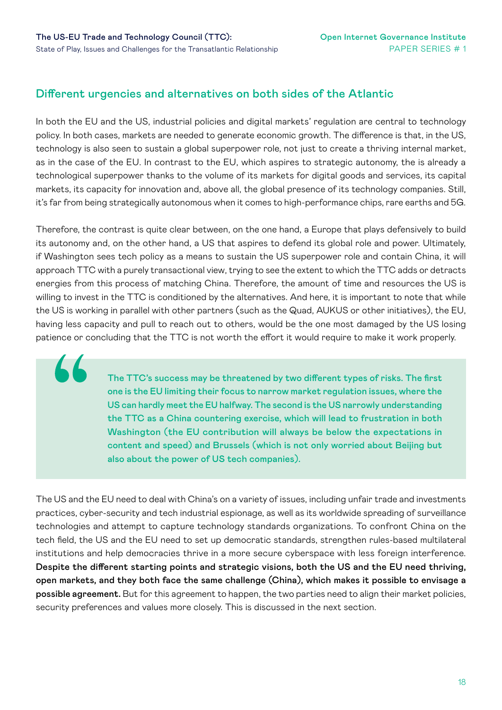**44** 

#### Different urgencies and alternatives on both sides of the Atlantic

In both the EU and the US, industrial policies and digital markets' regulation are central to technology policy. In both cases, markets are needed to generate economic growth. The difference is that, in the US, technology is also seen to sustain a global superpower role, not just to create a thriving internal market, as in the case of the EU. In contrast to the EU, which aspires to strategic autonomy, the is already a technological superpower thanks to the volume of its markets for digital goods and services, its capital markets, its capacity for innovation and, above all, the global presence of its technology companies. Still, it's far from being strategically autonomous when it comes to high-performance chips, rare earths and 5G.

Therefore, the contrast is quite clear between, on the one hand, a Europe that plays defensively to build its autonomy and, on the other hand, a US that aspires to defend its global role and power. Ultimately, if Washington sees tech policy as a means to sustain the US superpower role and contain China, it will approach TTC with a purely transactional view, trying to see the extent to which the TTC adds or detracts energies from this process of matching China. Therefore, the amount of time and resources the US is willing to invest in the TTC is conditioned by the alternatives. And here, it is important to note that while the US is working in parallel with other partners (such as the Quad, AUKUS or other initiatives), the EU, having less capacity and pull to reach out to others, would be the one most damaged by the US losing patience or concluding that the TTC is not worth the effort it would require to make it work properly.

> The TTC's success may be threatened by two different types of risks. The first one is the EU limiting their focus to narrow market regulation issues, where the US can hardly meet the EU halfway. The second is the US narrowly understanding the TTC as a China countering exercise, which will lead to frustration in both Washington (the EU contribution will always be below the expectations in content and speed) and Brussels (which is not only worried about Beijing but also about the power of US tech companies).

The US and the EU need to deal with China's on a variety of issues, including unfair trade and investments practices, cyber-security and tech industrial espionage, as well as its worldwide spreading of surveillance technologies and attempt to capture technology standards organizations. To confront China on the tech field, the US and the EU need to set up democratic standards, strengthen rules-based multilateral institutions and help democracies thrive in a more secure cyberspace with less foreign interference. Despite the different starting points and strategic visions, both the US and the EU need thriving, open markets, and they both face the same challenge (China), which makes it possible to envisage a possible agreement. But for this agreement to happen, the two parties need to align their market policies, security preferences and values more closely. This is discussed in the next section.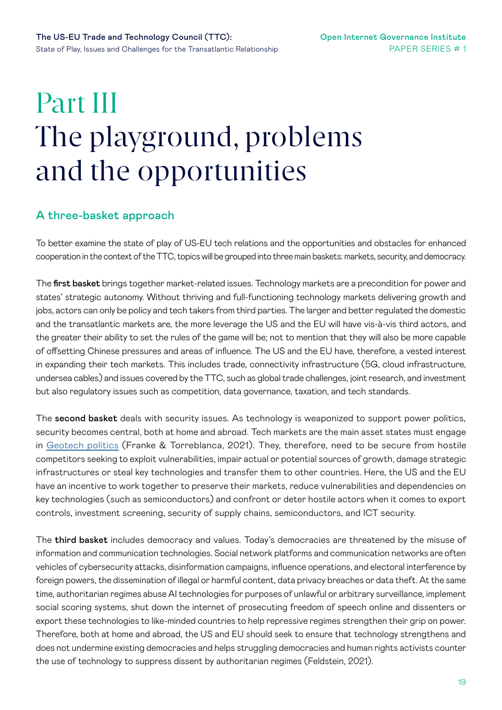# <span id="page-18-0"></span>Part III The playground, problems and the opportunities

#### A three-basket approach

To better examine the state of play of US-EU tech relations and the opportunities and obstacles for enhanced cooperation in the context of the TTC, topics will be grouped into three main baskets: markets, security, and democracy.

The first basket brings together market-related issues. Technology markets are a precondition for power and states' strategic autonomy. Without thriving and full-functioning technology markets delivering growth and jobs, actors can only be policy and tech takers from third parties. The larger and better regulated the domestic and the transatlantic markets are, the more leverage the US and the EU will have vis-à-vis third actors, and the greater their ability to set the rules of the game will be; not to mention that they will also be more capable of offsetting Chinese pressures and areas of influence. The US and the EU have, therefore, a vested interest in expanding their tech markets. This includes trade, connectivity infrastructure (5G, cloud infrastructure, undersea cables) and issues covered by the TTC, such as global trade challenges, joint research, and investment but also regulatory issues such as competition, data governance, taxation, and tech standards.

The second basket deals with security issues. As technology is weaponized to support power politics, security becomes central, both at home and abroad. Tech markets are the main asset states must engage in [Geotech politics](https://ecfr.eu/publication/geo-tech-politics-why-technology-shapes-european-power/) (Franke & Torreblanca, 2021). They, therefore, need to be secure from hostile competitors seeking to exploit vulnerabilities, impair actual or potential sources of growth, damage strategic infrastructures or steal key technologies and transfer them to other countries. Here, the US and the EU have an incentive to work together to preserve their markets, reduce vulnerabilities and dependencies on key technologies (such as semiconductors) and confront or deter hostile actors when it comes to export controls, investment screening, security of supply chains, semiconductors, and ICT security.

The third basket includes democracy and values. Today's democracies are threatened by the misuse of information and communication technologies. Social network platforms and communication networks are often vehicles of cybersecurity attacks, disinformation campaigns, influence operations, and electoral interference by foreign powers, the dissemination of illegal or harmful content, data privacy breaches or data theft. At the same time, authoritarian regimes abuse AI technologies for purposes of unlawful or arbitrary surveillance, implement social scoring systems, shut down the internet of prosecuting freedom of speech online and dissenters or export these technologies to like-minded countries to help repressive regimes strengthen their grip on power. Therefore, both at home and abroad, the US and EU should seek to ensure that technology strengthens and does not undermine existing democracies and helps struggling democracies and human rights activists counter the use of technology to suppress dissent by authoritarian regimes (Feldstein, 2021).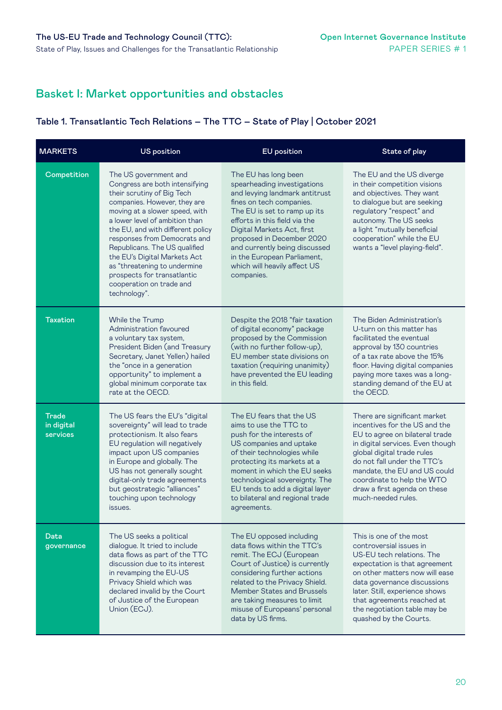### Basket I: Market opportunities and obstacles

#### Table 1. Transatlantic Tech Relations – The TTC – State of Play | October 2021

| <b>MARKETS</b>                         | <b>US position</b>                                                                                                                                                                                                                                                                                                                                                                                                                         | <b>EU</b> position                                                                                                                                                                                                                                                                                                                                          | State of play                                                                                                                                                                                                                                                                                                        |
|----------------------------------------|--------------------------------------------------------------------------------------------------------------------------------------------------------------------------------------------------------------------------------------------------------------------------------------------------------------------------------------------------------------------------------------------------------------------------------------------|-------------------------------------------------------------------------------------------------------------------------------------------------------------------------------------------------------------------------------------------------------------------------------------------------------------------------------------------------------------|----------------------------------------------------------------------------------------------------------------------------------------------------------------------------------------------------------------------------------------------------------------------------------------------------------------------|
| Competition                            | The US government and<br>Congress are both intensifying<br>their scrutiny of Big Tech<br>companies. However, they are<br>moving at a slower speed, with<br>a lower level of ambition than<br>the EU, and with different policy<br>responses from Democrats and<br>Republicans. The US qualified<br>the EU's Digital Markets Act<br>as "threatening to undermine<br>prospects for transatlantic<br>cooperation on trade and<br>technology". | The EU has long been<br>spearheading investigations<br>and levying landmark antitrust<br>fines on tech companies.<br>The EU is set to ramp up its<br>efforts in this field via the<br>Digital Markets Act, first<br>proposed in December 2020<br>and currently being discussed<br>in the European Parliament,<br>which will heavily affect US<br>companies. | The EU and the US diverge<br>in their competition visions<br>and objectives. They want<br>to dialogue but are seeking<br>regulatory "respect" and<br>autonomy. The US seeks<br>a light "mutually beneficial<br>cooperation" while the EU<br>wants a "level playing-field".                                           |
| <b>Taxation</b>                        | While the Trump<br>Administration favoured<br>a voluntary tax system,<br>President Biden (and Treasury<br>Secretary, Janet Yellen) hailed<br>the "once in a generation<br>opportunity" to implement a<br>global minimum corporate tax<br>rate at the OECD.                                                                                                                                                                                 | Despite the 2018 "fair taxation<br>of digital economy" package<br>proposed by the Commission<br>(with no further follow-up),<br>EU member state divisions on<br>taxation (requiring unanimity)<br>have prevented the EU leading<br>in this field.                                                                                                           | The Biden Administration's<br>U-turn on this matter has<br>facilitated the eventual<br>approval by 130 countries<br>of a tax rate above the 15%<br>floor. Having digital companies<br>paying more taxes was a long-<br>standing demand of the EU at<br>the OECD.                                                     |
| <b>Trade</b><br>in digital<br>services | The US fears the EU's "digital<br>sovereignty" will lead to trade<br>protectionism. It also fears<br>EU regulation will negatively<br>impact upon US companies<br>in Europe and globally. The<br>US has not generally sought<br>digital-only trade agreements<br>but geostrategic "alliances"<br>touching upon technology<br>issues.                                                                                                       | The EU fears that the US<br>aims to use the TTC to<br>push for the interests of<br>US companies and uptake<br>of their technologies while<br>protecting its markets at a<br>moment in which the EU seeks<br>technological sovereignty. The<br>EU tends to add a digital layer<br>to bilateral and regional trade<br>agreements.                             | There are significant market<br>incentives for the US and the<br>EU to agree on bilateral trade<br>in digital services. Even though<br>global digital trade rules<br>do not fall under the TTC's<br>mandate, the EU and US could<br>coordinate to help the WTO<br>draw a first agenda on these<br>much-needed rules. |
| Data<br>governance                     | The US seeks a political<br>dialogue. It tried to include<br>data flows as part of the TTC<br>discussion due to its interest<br>in revamping the EU-US<br>Privacy Shield which was<br>declared invalid by the Court<br>of Justice of the European<br>Union (ECJ).                                                                                                                                                                          | The EU opposed including<br>data flows within the TTC's<br>remit. The ECJ (European<br>Court of Justice) is currently<br>considering further actions<br>related to the Privacy Shield.<br>Member States and Brussels<br>are taking measures to limit<br>misuse of Europeans' personal<br>data by US firms.                                                  | This is one of the most<br>controversial issues in<br>US-EU tech relations. The<br>expectation is that agreement<br>on other matters now will ease<br>data governance discussions<br>later. Still, experience shows<br>that agreements reached at<br>the negotiation table may be<br>quashed by the Courts.          |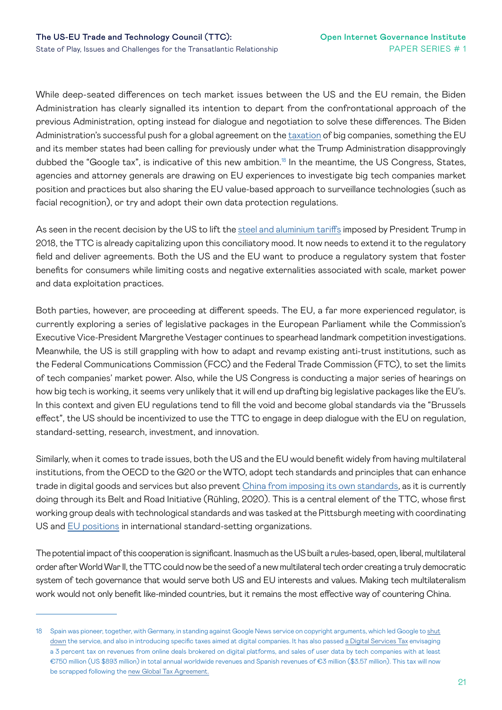While deep-seated differences on tech market issues between the US and the EU remain, the Biden Administration has clearly signalled its intention to depart from the confrontational approach of the previous Administration, opting instead for dialogue and negotiation to solve these differences. The Biden Administration's successful push for a global agreement on the [taxation](https://www.oecd.org/newsroom/130-countries-and-jurisdictions-join-bold-new-framework-for-international-tax-reform.htm) of big companies, something the EU and its member states had been calling for previously under what the Trump Administration disapprovingly dubbed the "Google tax", is indicative of this new ambition.<sup>18</sup> In the meantime, the US Congress, States, agencies and attorney generals are drawing on EU experiences to investigate big tech companies market position and practices but also sharing the EU value-based approach to surveillance technologies (such as facial recognition), or try and adopt their own data protection regulations.

As seen in the recent decision by the US to lift the [steel and aluminium tariffs](https://www.reuters.com/world/us-eu-expected-announce-deal-ending-steel-aluminum-tariff-dispute-sources-say-2021-10-30/) imposed by President Trump in 2018, the TTC is already capitalizing upon this conciliatory mood. It now needs to extend it to the regulatory field and deliver agreements. Both the US and the EU want to produce a regulatory system that foster benefits for consumers while limiting costs and negative externalities associated with scale, market power and data exploitation practices.

Both parties, however, are proceeding at different speeds. The EU, a far more experienced regulator, is currently exploring a series of legislative packages in the European Parliament while the Commission's Executive Vice-President Margrethe Vestager continues to spearhead landmark competition investigations. Meanwhile, the US is still grappling with how to adapt and revamp existing anti-trust institutions, such as the Federal Communications Commission (FCC) and the Federal Trade Commission (FTC), to set the limits of tech companies' market power. Also, while the US Congress is conducting a major series of hearings on how big tech is working, it seems very unlikely that it will end up drafting big legislative packages like the EU's. In this context and given EU regulations tend to fill the void and become global standards via the "Brussels effect", the US should be incentivized to use the TTC to engage in deep dialogue with the EU on regulation, standard-setting, research, investment, and innovation.

Similarly, when it comes to trade issues, both the US and the EU would benefit widely from having multilateral institutions, from the OECD to the G20 or the WTO, adopt tech standards and principles that can enhance trade in digital goods and services but also prevent [China from imposing its own standards](https://www.ui.se/globalassets/ui.se-eng/publications/other-publications/technical-standardisation-china-and-the-future-international-order.pdf), as it is currently doing through its Belt and Road Initiative (Rühling, 2020). This is a central element of the TTC, whose first working group deals with technological standards and was tasked at the Pittsburgh meeting with coordinating US and [EU positions](https://ec.europa.eu/growth/single-market/european-standards/key-players-european-standardisation_en) in international standard-setting organizations.

The potential impact of this cooperation is significant. Inasmuch as the US built a rules-based, open, liberal, multilateral order after World War II, the TTC could now be the seed of a new multilateral tech order creating a truly democratic system of tech governance that would serve both US and EU interests and values. Making tech multilateralism work would not only benefit like-minded countries, but it remains the most effective way of countering China.

<sup>18</sup> Spain was pioneer, together, with Germany, in standing against Google News service on copyright arguments, which led Google to shut [down](https://support.google.com/news/publisher-center/answer/9609687?hl=en) the service, and also in introducing specific taxes aimed at digital companies. It has also passed [a Digital Services Tax](https://taxfoundation.org/spain-digital-services-tax/) envisaging a 3 percent tax on revenues from online deals brokered on digital platforms, and sales of user data by tech companies with at least €750 million (US \$893 million) in total annual worldwide revenues and Spanish revenues of €3 million (\$3.57 million). This tax will now be scrapped following the [new Global Tax Agreement.](https://taxfoundation.org/global-tax-agreement/)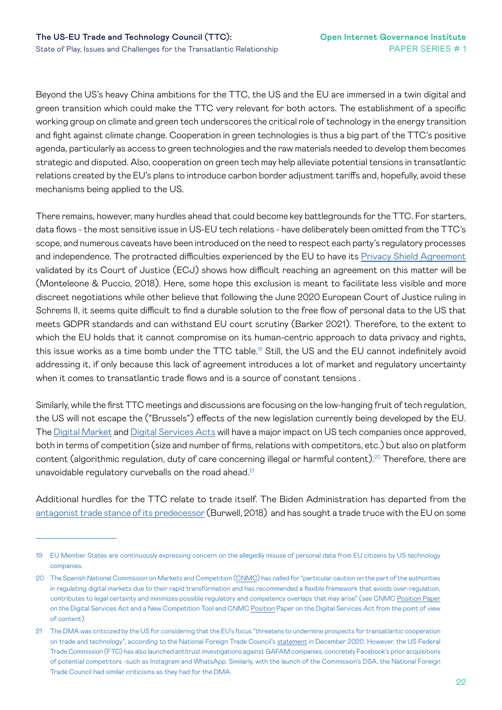Beyond the US's heavy China ambitions for the TTC, the US and the EU are immersed in a twin digital and green transition which could make the TTC very relevant for both actors. The establishment of a specific working group on climate and green tech underscores the critical role of technology in the energy transition and fight against climate change. Cooperation in green technologies is thus a big part of the TTC's positive agenda, particularly as access to green technologies and the raw materials needed to develop them becomes strategic and disputed. Also, cooperation on green tech may help alleviate potential tensions in transatlantic relations created by the EU's plans to introduce carbon border adjustment tariffs and, hopefully, avoid these mechanisms being applied to the US.

There remains, however, many hurdles ahead that could become key battlegrounds for the TTC. For starters, data flows - the most sensitive issue in US-EU tech relations - have deliberately been omitted from the TTC's scope, and numerous caveats have been introduced on the need to respect each party's regulatory processes and independence. The protracted difficulties experienced by the EU to have its Privacy Shield Agreement validated by its Court of Justice (ECJ) shows how difficult reaching an agreement on this matter will be (Monteleone & Puccio, 2018). Here, some hope this exclusion is meant to facilitate less visible and more discreet negotiations while other believe that following the June 2020 European Court of Justice ruling in Schrems II, it seems quite difficult to find a durable solution to the free flow of personal data to the US that meets GDPR standards and can withstand EU court scrutiny (Barker 2021). Therefore, to the extent to which the EU holds that it cannot compromise on its human-centric approach to data privacy and rights, this issue works as a time bomb under the TTC table.19 Still, the US and the EU cannot indefinitely avoid addressing it, if only because this lack of agreement introduces a lot of market and regulatory uncertainty when it comes to transatlantic trade flows and is a source of constant tensions.

Similarly, while the first TTC meetings and discussions are focusing on the low-hanging fruit of tech regulation, the US will not escape the ("Brussels") effects of the new legislation currently being developed by the EU. The [Digital Market](https://ec.europa.eu/info/strategy/priorities-2019-2024/europe-fit-digital-age/digital-markets-act-ensuring-fair-and-open-digital-markets_en) and [Digital Services Acts](https://ec.europa.eu/commission/presscorner/detail/en/QANDA_20_2348) will have a major impact on US tech companies once approved, both in terms of competition (size and number of firms, relations with competitors, etc.) but also on platform content (algorithmic regulation, duty of care concerning illegal or harmful content).<sup>20</sup> Therefore, there are unavoidable regulatory curveballs on the road ahead.<sup>21</sup>

Additional hurdles for the TTC relate to trade itself. The Biden Administration has departed from the [antagonist trade stance of its predecessor](https://www.atlanticcouncil.org/in-depth-research-reports/report/making-america-first-in-the-digital-economy-the-case-for-engaging-europe/) (Burwell, 2018) and has sought a trade truce with the EU on some

<sup>19</sup> EU Member States are continuously expressing concern on the allegedly misuse of personal data from EU citizens by US technology companies.

<sup>20</sup> The Spanish National Commission on Markets and Competition [\(CNMC](https://www.cnmc.es/prensa/contribucion-cnmc-plataformas-digitales-comision-europea-consulta-publica-20201110)) has called for "particular caution on the part of the authorities in regulating digital markets due to their rapid transformation and has recommended a flexible framework that avoids over-regulation, contributes to legal certainty and minimizes possible regulatory and competency overlaps that may arise" (see CNMC [Position Paper](https://www.cnmc.es/sites/default/files/editor_contenidos/Notas de prensa/2020/CNMC position paper on DSA and NCT.pdf)  on the Digital Services Act and a New Competition Tool and CNMC [Position](https://www.cnmc.es/sites/default/files/editor_contenidos/Notas de prensa/2020/CNMC position paper on DSA_1.pdf) Paper on the Digital Services Act from the point of view of content).

<sup>21</sup> The DMA was criticized by the US for considering that the EU's focus "threatens to undermine prospects for transatlantic cooperation on trade and technology", according to the National Foreign Trade Council's [statement](https://www.nftc.org/newsflash/newsflash.asp?Mode=View&id=236&articleid=4239&category=All) in December 2020. However, the US Federal Trade Commission (FTC) has also launched antitrust investigations against GAFAM companies, concretely Facebook's prior acquisitions of potential competitors -such as Instagram and WhatsApp. Similarly, with the launch of the Commission's DSA, the National Foreign Trade Council had similar criticisms as they had for the DMA.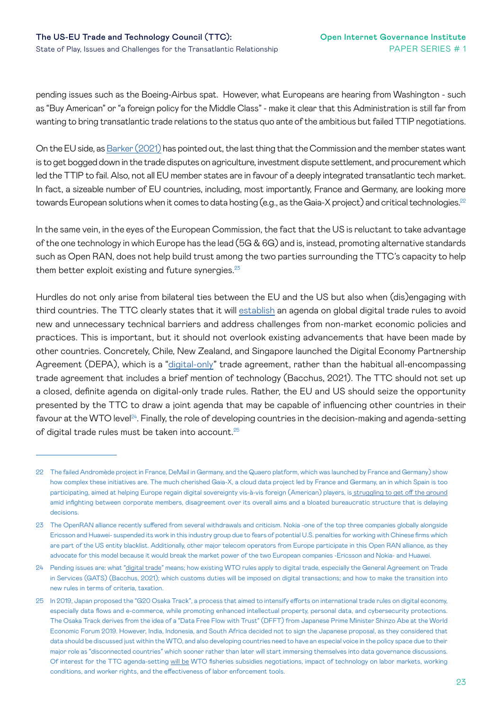pending issues such as the Boeing-Airbus spat. However, what Europeans are hearing from Washington - such as "Buy American" or "a foreign policy for the Middle Class" - make it clear that this Administration is still far from wanting to bring transatlantic trade relations to the status quo ante of the ambitious but failed TTIP negotiations.

On the EU side, as [Barker \(2021\)](https://ip-quarterly.com/en/ttc-lift-euro-atlantic-tech-alliance-takes-shape) has pointed out, the last thing that the Commission and the member states want is to get bogged down in the trade disputes on agriculture, investment dispute settlement, and procurement which led the TTIP to fail. Also, not all EU member states are in favour of a deeply integrated transatlantic tech market. In fact, a sizeable number of EU countries, including, most importantly, France and Germany, are looking more towards European solutions when it comes to data hosting (e.g., as the Gaia-X project) and critical technologies.<sup>22</sup>

In the same vein, in the eyes of the European Commission, the fact that the US is reluctant to take advantage of the one technology in which Europe has the lead (5G & 6G) and is, instead, promoting alternative standards such as Open RAN, does not help build trust among the two parties surrounding the TTC's capacity to help them better exploit existing and future synergies.<sup>23</sup>

Hurdles do not only arise from bilateral ties between the EU and the US but also when (dis)engaging with third countries. The TTC clearly states that it will [establish](https://ec.europa.eu/commission/presscorner/detail/en/STATEMENT_21_4951) an agenda on global digital trade rules to avoid new and unnecessary technical barriers and address challenges from non-market economic policies and practices. This is important, but it should not overlook existing advancements that have been made by other countries. Concretely, Chile, New Zealand, and Singapore launched the Digital Economy Partnership Agreement (DEPA), which is a "[digital-only](https://www.cigionline.org/publications/the-digital-decide-how-to-agree-on-wto-rules-for-digital-trade/)" trade agreement, rather than the habitual all-encompassing trade agreement that includes a brief mention of technology (Bacchus, 2021). The TTC should not set up a closed, definite agenda on digital-only trade rules. Rather, the EU and US should seize the opportunity presented by the TTC to draw a joint agenda that may be capable of influencing other countries in their favour at the WTO level $24$ . Finally, the role of developing countries in the decision-making and agenda-setting of digital trade rules must be taken into account.<sup>25</sup>

<sup>22</sup> The failed Andromède project in France, DeMail in Germany, and the Quaero platform, which was launched by France and Germany) show how complex these initiatives are. The much cherished Gaia-X, a cloud data project led by France and Germany, an in which Spain is too participating, aimed at helping Europe regain digital sovereignty vis-à-vis foreign (American) players, i[s struggling to get off the ground](https://www.politico.eu/article/chaos-and-infighting-are-killing-europes-grand-cloud-project/) amid infighting between corporate members, disagreement over its overall aims and a bloated bureaucratic structure that is delaying decisions.

<sup>23</sup> The OpenRAN alliance recently suffered from several withdrawals and criticism. Nokia -one of the top three companies globally alongside Ericsson and Huawei- suspended its work in this industry group due to fears of potential U.S. penalties for working with Chinese firms which are part of the US entity blacklist. Additionally, other major telecom operators from Europe participate in this Open RAN alliance, as they advocate for this model because it would break the market power of the two European companies -Ericsson and Nokia- and Huawei.

<sup>24</sup> Pending issues are: what ["digital trade"](https://www.cigionline.org/publications/the-digital-decide-how-to-agree-on-wto-rules-for-digital-trade/) means; how existing WTO rules apply to digital trade, especially the General Agreement on Trade in Services (GATS) (Bacchus, 2021); which customs duties will be imposed on digital transactions; and how to make the transition into new rules in terms of criteria, taxation.

<sup>25</sup> In 2019, Japan proposed the "G20 Osaka Track", a process that aimed to intensify efforts on international trade rules on digital economy, especially data flows and e-commerce, while promoting enhanced intellectual property, personal data, and cybersecurity protections. The Osaka Track derives from the idea of a "Data Free Flow with Trust" (DFFT) from Japanese Prime Minister Shinzo Abe at the World Economic Forum 2019. However, India, Indonesia, and South Africa decided not to sign the Japanese proposal, as they considered that data should be discussed just within the WTO, and also developing countries need to have an especial voice in the policy space due to their major role as "disconnected countries" which sooner rather than later will start immersing themselves into data governance discussions. Of interest for the TTC agenda-setting [will be](https://ec.europa.eu/commission/presscorner/detail/en/STATEMENT_21_4951) WTO fisheries subsidies negotiations, impact of technology on labor markets, working conditions, and worker rights, and the effectiveness of labor enforcement tools.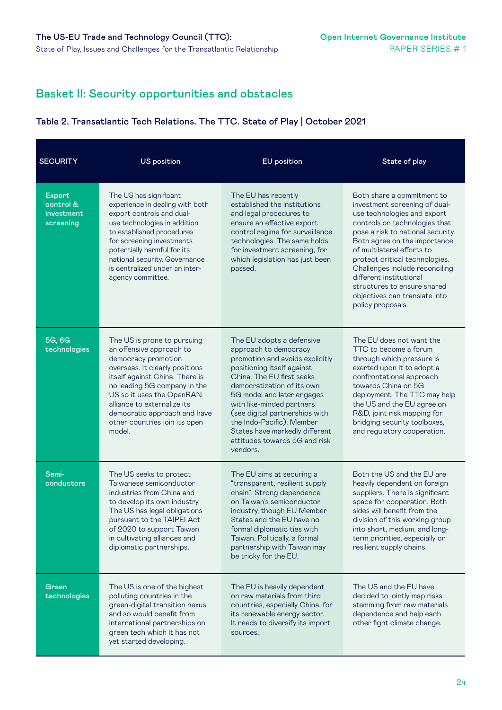### Basket II: Security opportunities and obstacles

#### Table 2. Transatlantic Tech Relations. The TTC. State of Play | October 2021

| <b>SECURITY</b>                                | <b>US position</b>                                                                                                                                                                                                                                                                                                        | <b>EU</b> position                                                                                                                                                                                                                                                                                                                                                                      | State of play                                                                                                                                                                                                                                                                                                                                                                                                      |
|------------------------------------------------|---------------------------------------------------------------------------------------------------------------------------------------------------------------------------------------------------------------------------------------------------------------------------------------------------------------------------|-----------------------------------------------------------------------------------------------------------------------------------------------------------------------------------------------------------------------------------------------------------------------------------------------------------------------------------------------------------------------------------------|--------------------------------------------------------------------------------------------------------------------------------------------------------------------------------------------------------------------------------------------------------------------------------------------------------------------------------------------------------------------------------------------------------------------|
| Export<br>control &<br>investment<br>screening | The US has significant<br>experience in dealing with both<br>export controls and dual-<br>use technologies in addition<br>to established procedures<br>for screening investments<br>potentially harmful for its<br>national security. Governance<br>is centralized under an inter-<br>agency committee.                   | The EU has recently<br>established the institutions<br>and legal procedures to<br>ensure an effective export<br>control regime for surveillance<br>technologies. The same holds<br>for investment screening, for<br>which legislation has just been<br>passed.                                                                                                                          | Both share a commitment to<br>investment screening of dual-<br>use technologies and export<br>controls on technologies that<br>pose a risk to national security.<br>Both agree on the importance<br>of multilateral efforts to<br>protect critical technologies.<br>Challenges include reconciling<br>different institutional<br>structures to ensure shared<br>objectives can translate into<br>policy proposals. |
| 5G, 6G<br>technologies                         | The US is prone to pursuing<br>an offensive approach to<br>democracy promotion<br>overseas. It clearly positions<br>itself against China. There is<br>no leading 5G company in the<br>US so it uses the OpenRAN<br>alliance to externalize its<br>democratic approach and have<br>other countries join its open<br>model. | The EU adopts a defensive<br>approach to democracy<br>promotion and avoids explicitly<br>positioning itself against<br>China. The EU first seeks<br>democratization of its own<br>5G model and later engages<br>with like-minded partners<br>(see digital partnerships with<br>the Indo-Pacific). Member<br>States have markedly different<br>attitudes towards 5G and risk<br>vendors. | The EU does not want the<br>TTC to become a forum<br>through which pressure is<br>exerted upon it to adopt a<br>confrontational approach<br>towards China on 5G<br>deployment. The TTC may help<br>the US and the EU agree on<br>R&D, joint risk mapping for<br>bridging security toolboxes,<br>and regulatory cooperation.                                                                                        |
| Semi-<br>conductors                            | The US seeks to protect<br>Taiwanese semiconductor<br>industries from China and<br>to develop its own industry.<br>The US has legal obligations<br>pursuant to the TAIPEI Act<br>of 2020 to support Taiwan<br>in cultivating alliances and<br>diplomatic partnerships.                                                    | The EU aims at securing a<br>"transparent, resilient supply<br>chain". Strong dependence<br>on Taiwan's semiconductor<br>industry, though EU Member<br>States and the EU have no<br>formal diplomatic ties with<br>Taiwan. Politically, a formal<br>partnership with Taiwan may<br>be tricky for the EU.                                                                                | Both the US and the EU are<br>heavily dependent on foreign<br>suppliers. There is significant<br>space for cooperation. Both<br>sides will benefit from the<br>division of this working group<br>into short, medium, and long-<br>term priorities, especially on<br>resilient supply chains.                                                                                                                       |
| Green<br>technologies                          | The US is one of the highest<br>polluting countries in the<br>green-digital transition nexus<br>and so would benefit from<br>international partnerships on<br>green tech which it has not<br>yet started developing.                                                                                                      | The EU is heavily dependent<br>on raw materials from third<br>countries, especially China, for<br>its renewable energy sector.<br>It needs to diversify its import<br>sources.                                                                                                                                                                                                          | The US and the EU have<br>decided to jointly map risks<br>stemming from raw materials<br>dependence and help each<br>other fight climate change.                                                                                                                                                                                                                                                                   |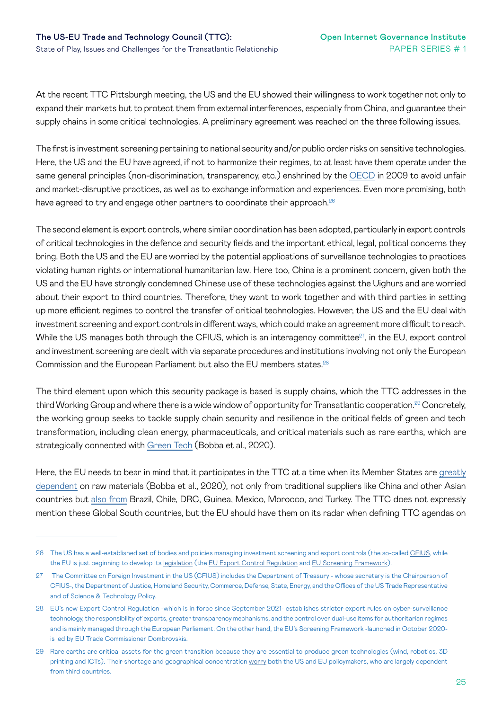At the recent TTC Pittsburgh meeting, the US and the EU showed their willingness to work together not only to expand their markets but to protect them from external interferences, especially from China, and guarantee their supply chains in some critical technologies. A preliminary agreement was reached on the three following issues.

The first is investment screening pertaining to national security and/or public order risks on sensitive technologies. Here, the US and the EU have agreed, if not to harmonize their regimes, to at least have them operate under the same general principles (non-discrimination, transparency, etc.) enshrined by the [OECD](https://www.oecd.org/investment/investment-policy/investment-policy-national-security.htm) in 2009 to avoid unfair and market-disruptive practices, as well as to exchange information and experiences. Even more promising, both have agreed to try and engage other partners to coordinate their approach.<sup>26</sup>

The second element is export controls, where similar coordination has been adopted, particularly in export controls of critical technologies in the defence and security fields and the important ethical, legal, political concerns they bring. Both the US and the EU are worried by the potential applications of surveillance technologies to practices violating human rights or international humanitarian law. Here too, China is a prominent concern, given both the US and the EU have strongly condemned Chinese use of these technologies against the Uighurs and are worried about their export to third countries. Therefore, they want to work together and with third parties in setting up more efficient regimes to control the transfer of critical technologies. However, the US and the EU deal with investment screening and export controls in different ways, which could make an agreement more difficult to reach. While the US manages both through the CFIUS, which is an interagency committee<sup>27</sup>, in the EU, export control and investment screening are dealt with via separate procedures and institutions involving not only the European Commission and the European Parliament but also the EU members states.28

The third element upon which this security package is based is supply chains, which the TTC addresses in the third Working Group and where there is a wide window of opportunity for Transatlantic cooperation.<sup>29</sup> Concretely, the working group seeks to tackle supply chain security and resilience in the critical fields of green and tech transformation, including clean energy, pharmaceuticals, and critical materials such as rare earths, which are strategically connected with [Green Tech](https://ec.europa.eu/docsroom/documents/42881) (Bobba et al., 2020).

Here, the EU needs to bear in mind that it participates in the TTC at a time when its Member States are [greatly](https://ec.europa.eu/docsroom/documents/42881)  [dependent](https://ec.europa.eu/docsroom/documents/42881) on raw materials (Bobba et al., 2020), not only from traditional suppliers like China and other Asian countries but [also from](https://ec.europa.eu/info/sites/default/files/foresight_report_com750_en.pdf) Brazil, Chile, DRC, Guinea, Mexico, Morocco, and Turkey. The TTC does not expressly mention these Global South countries, but the EU should have them on its radar when defining TTC agendas on

<sup>26</sup> The US has a well-established set of bodies and policies managing investment screening and export controls (the so-called [CFIUS,](https://home.treasury.gov/policy-issues/international/the-committee-on-foreign-investment-in-the-united-states-cfius/cfius-overview) while the EU is just beginning to develop its [legislation](https://ec.europa.eu/commission/presscorner/detail/en/ip_21_4601) (the [EU Export Control Regulation](https://trade.ec.europa.eu/doclib/press/index.cfm?id=2296) and [EU Screening Framework\)](https://ec.europa.eu/commission/presscorner/detail/en/ip_20_1867).

<sup>27</sup> The Committee on Foreign Investment in the US (CFIUS) includes the Department of Treasury - whose secretary is the Chairperson of CFIUS-, the Department of Justice, Homeland Security, Commerce, Defense, State, Energy, and the Offices of the US Trade Representative and of Science & Technology Policy.

<sup>28</sup> EU's new Export Control Regulation -which is in force since September 2021- establishes stricter export rules on cyber-surveillance technology, the responsibility of exports, greater transparency mechanisms, and the control over dual-use items for authoritarian regimes and is mainly managed through the European Parliament. On the other hand, the EU's Screening Framework -launched in October 2020 is led by EU Trade Commissioner Dombrovskis.

<sup>29</sup> Rare earths are critical assets for the green transition because they are essential to produce green technologies (wind, robotics, 3D printing and ICTs). Their shortage and geographical concentration [worry](https://ec.europa.eu/info/sites/default/files/foresight_report_com750_en.pdf) both the US and EU policymakers, who are largely dependent from third countries.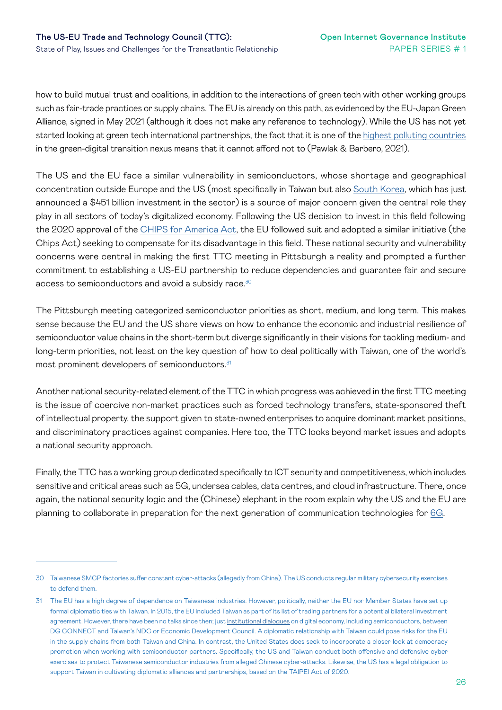how to build mutual trust and coalitions, in addition to the interactions of green tech with other working groups such as fair-trade practices or supply chains. The EU is already on this path, as evidenced by the EU-Japan Green Alliance, signed in May 2021 (although it does not make any reference to technology). While the US has not yet started looking at green tech international partnerships, the fact that it is one of the [highest polluting countries](https://www.iss.europa.eu/content/green-digital-diplomacy)  in the green-digital transition nexus means that it cannot afford not to (Pawlak & Barbero, 2021).

The US and the EU face a similar vulnerability in semiconductors, whose shortage and geographical concentration outside Europe and the US (most specifically in Taiwan but also [South Korea,](https://asia.nikkei.com/Business/Tech/Semiconductors/South-Korea-plans-to-invest-450bn-to-become-chip-powerhouse) which has just announced a \$451 billion investment in the sector) is a source of major concern given the central role they play in all sectors of today's digitalized economy. Following the US decision to invest in this field following the 2020 approval of the [CHIPS for America Act](https://www.congress.gov/bill/116th-congress/house-bill/7178), the EU followed suit and adopted a similar initiative (the Chips Act) seeking to compensate for its disadvantage in this field. These national security and vulnerability concerns were central in making the first TTC meeting in Pittsburgh a reality and prompted a further commitment to establishing a US-EU partnership to reduce dependencies and guarantee fair and secure access to semiconductors and avoid a subsidy race.<sup>30</sup>

The Pittsburgh meeting categorized semiconductor priorities as short, medium, and long term. This makes sense because the EU and the US share views on how to enhance the economic and industrial resilience of semiconductor value chains in the short-term but diverge significantly in their visions for tackling medium- and long-term priorities, not least on the key question of how to deal politically with Taiwan, one of the world's most prominent developers of semiconductors.<sup>31</sup>

Another national security-related element of the TTC in which progress was achieved in the first TTC meeting is the issue of coercive non-market practices such as forced technology transfers, state-sponsored theft of intellectual property, the support given to state-owned enterprises to acquire dominant market positions, and discriminatory practices against companies. Here too, the TTC looks beyond market issues and adopts a national security approach.

Finally, the TTC has a working group dedicated specifically to ICT security and competitiveness, which includes sensitive and critical areas such as 5G, undersea cables, data centres, and cloud infrastructure. There, once again, the national security logic and the (Chinese) elephant in the room explain why the US and the EU are planning to collaborate in preparation for the next generation of communication technologies for [6G.](https://blog.realinstitutoelcano.org/en/6g-europe-and-post-2030-scenario-internal-coherence-for-strategic-autonomy/)

<sup>30</sup> Taiwanese SMCP factories suffer constant cyber-attacks (allegedly from China). The US conducts regular military cybersecurity exercises to defend them.

<sup>31</sup> The EU has a high degree of dependence on Taiwanese industries. However, politically, neither the EU nor Member States have set up formal diplomatic ties with Taiwan. In 2015, the EU included Taiwan as part of its list of trading partners for a potential bilateral investment agreement. However, there have been no talks since then; just [institutional dialogues](https://www.ndc.gov.tw/en/nc_8455_34617) on digital economy, including semiconductors, between DG CONNECT and Taiwan's NDC or Economic Development Council. A diplomatic relationship with Taiwan could pose risks for the EU in the supply chains from both Taiwan and China. In contrast, the United States does seek to incorporate a closer look at democracy promotion when working with semiconductor partners. Specifically, the US and Taiwan conduct both offensive and defensive cyber exercises to protect Taiwanese semiconductor industries from alleged Chinese cyber-attacks. Likewise, the US has a legal obligation to support Taiwan in cultivating diplomatic alliances and partnerships, based on the TAIPEI Act of 2020.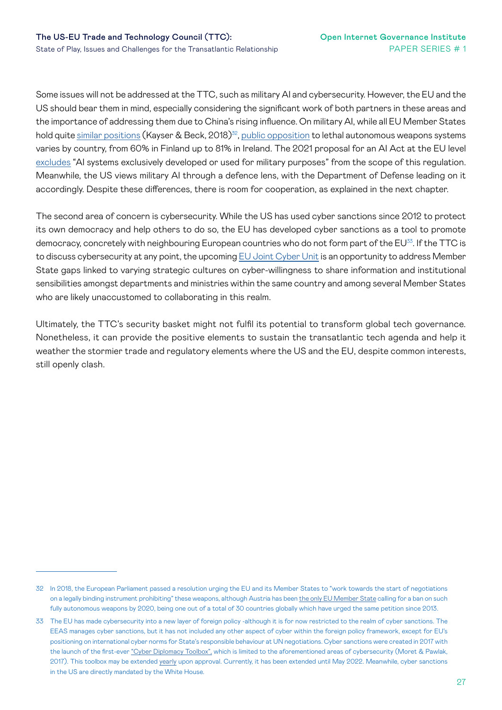Some issues will not be addressed at the TTC, such as military AI and cybersecurity. However, the EU and the US should bear them in mind, especially considering the significant work of both partners in these areas and the importance of addressing them due to China's rising influence. On military AI, while all EU Member States hold quite [similar positions](https://paxforpeace.nl/media/download/pax-rapport-crunch-time.pdf) (Kayser & Beck, 2018)<sup>32</sup>, [public opposition](https://www.hrw.org/news/2019/11/13/europe-poll-supports-killer-robots-ban) to lethal autonomous weapons systems varies by country, from 60% in Finland up to 81% in Ireland. The 2021 proposal for an AI Act at the EU level [excludes](https://eur-lex.europa.eu/resource.html?uri=cellar:e0649735-a372-11eb-9585-01aa75ed71a1.0001.02/DOC_1&format=PDF) "AI systems exclusively developed or used for military purposes" from the scope of this regulation. Meanwhile, the US views military AI through a defence lens, with the Department of Defense leading on it accordingly. Despite these differences, there is room for cooperation, as explained in the next chapter.

The second area of concern is cybersecurity. While the US has used cyber sanctions since 2012 to protect its own democracy and help others to do so, the EU has developed cyber sanctions as a tool to promote democracy, concretely with neighbouring European countries who do not form part of the EU<sup>33</sup>. If the TTC is to discuss cybersecurity at any point, the upcoming [EU Joint Cyber Unit](https://ec.europa.eu/commission/presscorner/detail/en/IP_21_3088) is an opportunity to address Member State gaps linked to varying strategic cultures on cyber-willingness to share information and institutional sensibilities amongst departments and ministries within the same country and among several Member States who are likely unaccustomed to collaborating in this realm.

Ultimately, the TTC's security basket might not fulfil its potential to transform global tech governance. Nonetheless, it can provide the positive elements to sustain the transatlantic tech agenda and help it weather the stormier trade and regulatory elements where the US and the EU, despite common interests, still openly clash.

<sup>32</sup> In 2018, the European Parliament passed a resolution urging the EU and its Member States to "work towards the start of negotiations on a legally binding instrument prohibiting" these weapons, although Austria has been [the only EU Member State](https://www.hrw.org/report/2020/08/10/stopping-killer-robots/country-positions-banning-fully-autonomous-weapons-and) calling for a ban on such fully autonomous weapons by 2020, being one out of a total of 30 countries globally which have urged the same petition since 2013.

<sup>33</sup> The EU has made cybersecurity into a new layer of foreign policy -although it is for now restricted to the realm of cyber sanctions. The EEAS manages cyber sanctions, but it has not included any other aspect of cyber within the foreign policy framework, except for EU's positioning on international cyber norms for State's responsible behaviour at UN negotiations. Cyber sanctions were created in 2017 with the launch of the first-ever ["Cyber Diplomacy Toolbox",](https://www.iss.europa.eu/sites/default/files/EUISSFiles/Brief 24 Cyber sanctions.pdf) which is limited to the aforementioned areas of cybersecurity (Moret & Pawlak, 2017). This toolbox may be extended [yearly](https://www.consilium.europa.eu/en/press/press-releases/2021/05/17/cyber-attacks-council-prolongs-framework-for-sanctions-for-another-year/) upon approval. Currently, it has been extended until May 2022. Meanwhile, cyber sanctions in the US are directly mandated by the White House.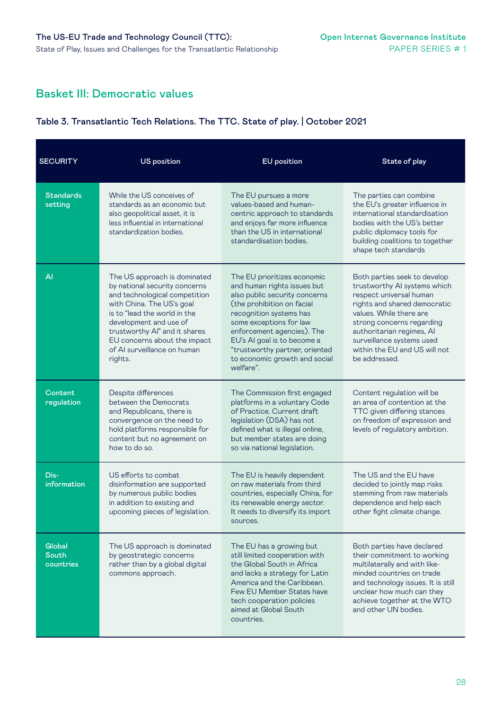### Basket III: Democratic values

#### Table 3. Transatlantic Tech Relations. The TTC. State of play. | October 2021

| <b>SECURITY</b>                     | <b>US position</b>                                                                                                                                                                                                                                                                               | <b>EU</b> position                                                                                                                                                                                                                                                                                                           | State of play                                                                                                                                                                                                                                                                               |
|-------------------------------------|--------------------------------------------------------------------------------------------------------------------------------------------------------------------------------------------------------------------------------------------------------------------------------------------------|------------------------------------------------------------------------------------------------------------------------------------------------------------------------------------------------------------------------------------------------------------------------------------------------------------------------------|---------------------------------------------------------------------------------------------------------------------------------------------------------------------------------------------------------------------------------------------------------------------------------------------|
| <b>Standards</b><br>setting         | While the US conceives of<br>standards as an economic but<br>also geopolitical asset, it is<br>less influential in international<br>standardization bodies.                                                                                                                                      | The EU pursues a more<br>values-based and human-<br>centric approach to standards<br>and enjoys far more influence<br>than the US in international<br>standardisation bodies.                                                                                                                                                | The parties can combine<br>the EU's greater influence in<br>international standardisation<br>bodies with the US's better<br>public diplomacy tools for<br>building coalitions to together<br>shape tech standards                                                                           |
| Al                                  | The US approach is dominated<br>by national security concerns<br>and technological competition<br>with China. The US's goal<br>is to "lead the world in the<br>development and use of<br>trustworthy Al" and it shares<br>EU concerns about the impact<br>of AI surveillance on human<br>rights. | The EU prioritizes economic<br>and human rights issues but<br>also public security concerns<br>(the prohibition on facial<br>recognition systems has<br>some exceptions for law<br>enforcement agencies). The<br>EU's AI goal is to become a<br>"trustworthy partner, oriented<br>to economic growth and social<br>welfare". | Both parties seek to develop<br>trustworthy AI systems which<br>respect universal human<br>rights and shared democratic<br>values. While there are<br>strong concerns regarding<br>authoritarian regimes, Al<br>surveillance systems used<br>within the EU and US will not<br>be addressed. |
| Content<br>regulation               | Despite differences<br>between the Democrats<br>and Republicans, there is<br>convergence on the need to<br>hold platforms responsible for<br>content but no agreement on<br>how to do so.                                                                                                        | The Commission first engaged<br>platforms in a voluntary Code<br>of Practice. Current draft<br>legislation (DSA) has not<br>defined what is illegal online,<br>but member states are doing<br>so via national legislation.                                                                                                   | Content regulation will be<br>an area of contention at the<br>TTC given differing stances<br>on freedom of expression and<br>levels of regulatory ambition.                                                                                                                                 |
| Dis-<br>information                 | US efforts to combat<br>disinformation are supported<br>by numerous public bodies<br>in addition to existing and<br>upcoming pieces of legislation.                                                                                                                                              | The EU is heavily dependent<br>on raw materials from third<br>countries, especially China, for<br>its renewable energy sector.<br>It needs to diversify its import<br>sources.                                                                                                                                               | The US and the EU have<br>decided to jointly map risks<br>stemming from raw materials<br>dependence and help each<br>other fight climate change.                                                                                                                                            |
| Global<br><b>South</b><br>countries | The US approach is dominated<br>by geostrategic concerns<br>rather than by a global digital<br>commons approach.                                                                                                                                                                                 | The EU has a growing but<br>still limited cooperation with<br>the Global South in Africa<br>and lacks a strategy for Latin<br>America and the Caribbean.<br>Few EU Member States have<br>tech cooperation policies<br>aimed at Global South<br>countries.                                                                    | Both parties have declared<br>their commitment to working<br>multilaterally and with like-<br>minded countries on trade<br>and technology issues. It is still<br>unclear how much can they<br>achieve together at the WTO<br>and other UN bodies.                                           |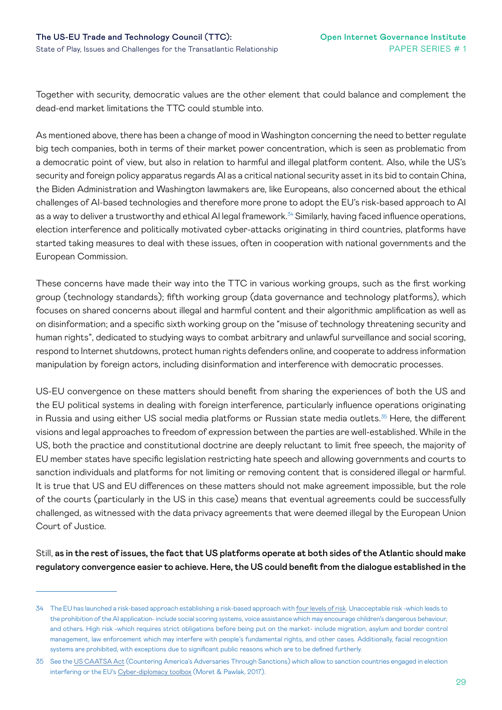Together with security, democratic values are the other element that could balance and complement the dead-end market limitations the TTC could stumble into.

As mentioned above, there has been a change of mood in Washington concerning the need to better regulate big tech companies, both in terms of their market power concentration, which is seen as problematic from a democratic point of view, but also in relation to harmful and illegal platform content. Also, while the US's security and foreign policy apparatus regards AI as a critical national security asset in its bid to contain China, the Biden Administration and Washington lawmakers are, like Europeans, also concerned about the ethical challenges of AI-based technologies and therefore more prone to adopt the EU's risk-based approach to AI as a way to deliver a trustworthy and ethical AI legal framework.<sup>34</sup> Similarly, having faced influence operations, election interference and politically motivated cyber-attacks originating in third countries, platforms have started taking measures to deal with these issues, often in cooperation with national governments and the European Commission.

These concerns have made their way into the TTC in various working groups, such as the first working group (technology standards); fifth working group (data governance and technology platforms), which focuses on shared concerns about illegal and harmful content and their algorithmic amplification as well as on disinformation; and a specific sixth working group on the "misuse of technology threatening security and human rights", dedicated to studying ways to combat arbitrary and unlawful surveillance and social scoring, respond to Internet shutdowns, protect human rights defenders online, and cooperate to address information manipulation by foreign actors, including disinformation and interference with democratic processes.

US-EU convergence on these matters should benefit from sharing the experiences of both the US and the EU political systems in dealing with foreign interference, particularly influence operations originating in Russia and using either US social media platforms or Russian state media outlets.<sup>35</sup> Here, the different visions and legal approaches to freedom of expression between the parties are well-established. While in the US, both the practice and constitutional doctrine are deeply reluctant to limit free speech, the majority of EU member states have specific legislation restricting hate speech and allowing governments and courts to sanction individuals and platforms for not limiting or removing content that is considered illegal or harmful. It is true that US and EU differences on these matters should not make agreement impossible, but the role of the courts (particularly in the US in this case) means that eventual agreements could be successfully challenged, as witnessed with the data privacy agreements that were deemed illegal by the European Union Court of Justice.

Still, as in the rest of issues, the fact that US platforms operate at both sides of the Atlantic should make regulatory convergence easier to achieve. Here, the US could benefit from the dialogue established in the

<sup>34</sup> The EU has launched a risk-based approach establishing a risk-based approach with [four levels of risk](https://digital-strategy.ec.europa.eu/en/policies/regulatory-framework-ai). Unacceptable risk -which leads to the prohibition of the AI application- include social scoring systems, voice assistance which may encourage children's dangerous behaviour, and others. High risk -which requires strict obligations before being put on the market- include migration, asylum and border control management, law enforcement which may interfere with people's fundamental rights, and other cases. Additionally, facial recognition systems are prohibited, with exceptions due to significant public reasons which are to be defined furtherly.

<sup>35</sup> See the [US CAATSA Act](https://home.treasury.gov/policy-issues/financial-sanctions/sanctions-programs-and-country-information/countering-americas-adversaries-through-sanctions-act) (Countering America's Adversaries Through Sanctions) which allow to sanction countries engaged in election interfering or the EU's [Cyber-diplomacy toolbox](https://www.iss.europa.eu/sites/default/files/EUISSFiles/Brief 24 Cyber sanctions.pdf) (Moret & Pawlak, 2017).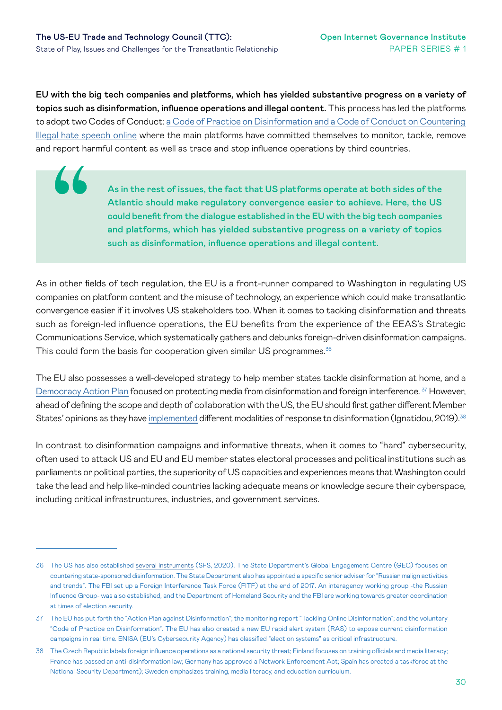LL

EU with the big tech companies and platforms, which has yielded substantive progress on a variety of topics such as disinformation, influence operations and illegal content. This process has led the platforms to adopt two Codes of Conduct: [a Code of Practice on Disinformation and a Code of Conduct on Countering](https://digital-strategy.ec.europa.eu/en/policies/code-practice-disinformation)  [Illegal hate speech online](https://digital-strategy.ec.europa.eu/en/policies/code-practice-disinformation) where the main platforms have committed themselves to monitor, tackle, remove and report harmful content as well as trace and stop influence operations by third countries.

> As in the rest of issues, the fact that US platforms operate at both sides of the Atlantic should make regulatory convergence easier to achieve. Here, the US could benefit from the dialogue established in the EU with the big tech companies and platforms, which has yielded substantive progress on a variety of topics such as disinformation, influence operations and illegal content.

As in other fields of tech regulation, the EU is a front-runner compared to Washington in regulating US companies on platform content and the misuse of technology, an experience which could make transatlantic convergence easier if it involves US stakeholders too. When it comes to tacking disinformation and threats such as foreign-led influence operations, the EU benefits from the experience of the EEAS's Strategic Communications Service, which systematically gathers and debunks foreign-driven disinformation campaigns. This could form the basis for cooperation given similar US programmes.<sup>36</sup>

The EU also possesses a well-developed strategy to help member states tackle disinformation at home, and a [Democracy Action Plan](https://ec.europa.eu/commission/presscorner/detail/en/ip_20_2250) focused on protecting media from disinformation and foreign interference. <sup>37</sup> However, ahead of defining the scope and depth of collaboration with the US, the EU should first gather different Member States' opinions as they have [implemented](https://www.chathamhouse.org/2019/10/eu-us-cooperation-tackling-disinformation-0/3-countermeasures-disinformation) different modalities of response to disinformation (Ignatidou, 2019).<sup>38</sup>

In contrast to disinformation campaigns and informative threats, when it comes to "hard" cybersecurity, often used to attack US and EU and EU member states electoral processes and political institutions such as parliaments or political parties, the superiority of US capacities and experiences means that Washington could take the lead and help like-minded countries lacking adequate means or knowledge secure their cyberspace, including critical infrastructures, industries, and government services.

<sup>36</sup> The US has also established [several instruments](https://georgetown.app.box.com/s/ivwz4irk3un8blngm3wo0t3uwfc6hpz8) (SFS, 2020). The State Department's Global Engagement Centre (GEC) focuses on countering state-sponsored disinformation. The State Department also has appointed a specific senior adviser for "Russian malign activities and trends". The FBI set up a Foreign Interference Task Force (FITF) at the end of 2017. An interagency working group -the Russian Influence Group- was also established, and the Department of Homeland Security and the FBI are working towards greater coordination at times of election security.

<sup>37</sup> The EU has put forth the "Action Plan against Disinformation"; the monitoring report "Tackling Online Disinformation"; and the voluntary "Code of Practice on Disinformation". The EU has also created a new EU rapid alert system (RAS) to expose current disinformation campaigns in real time. ENISA (EU's Cybersecurity Agency) has classified "election systems" as critical infrastructure.

<sup>38</sup> The Czech Republic labels foreign influence operations as a national security threat; Finland focuses on training officials and media literacy; France has passed an anti-disinformation law; Germany has approved a Network Enforcement Act; Spain has created a taskforce at the National Security Department); Sweden emphasizes training, media literacy, and education curriculum.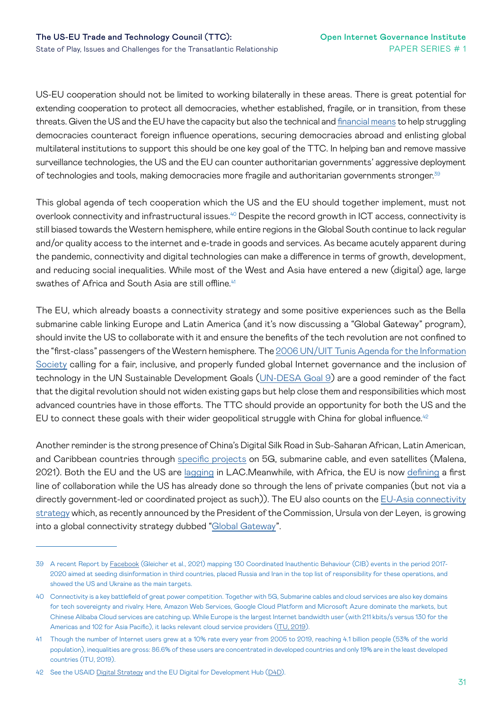US-EU cooperation should not be limited to working bilaterally in these areas. There is great potential for extending cooperation to protect all democracies, whether established, fragile, or in transition, from these threats. Given the US and the EU have the capacity but also the technical and [financial means](https://ec.europa.eu/info/live-work-travel-eu/coronavirus-response/fighting-disinformation/funded-projects-fight-against-disinformation_en) to help struggling democracies counteract foreign influence operations, securing democracies abroad and enlisting global multilateral institutions to support this should be one key goal of the TTC. In helping ban and remove massive surveillance technologies, the US and the EU can counter authoritarian governments' aggressive deployment of technologies and tools, making democracies more fragile and authoritarian governments stronger.<sup>39</sup>

This global agenda of tech cooperation which the US and the EU should together implement, must not overlook connectivity and infrastructural issues.<sup>40</sup> Despite the record growth in ICT access, connectivity is still biased towards the Western hemisphere, while entire regions in the Global South continue to lack regular and/or quality access to the internet and e-trade in goods and services. As became acutely apparent during the pandemic, connectivity and digital technologies can make a difference in terms of growth, development, and reducing social inequalities. While most of the West and Asia have entered a new (digital) age, large swathes of Africa and South Asia are still offline.<sup>41</sup>

The EU, which already boasts a connectivity strategy and some positive experiences such as the Bella submarine cable linking Europe and Latin America (and it's now discussing a "Global Gateway" program), should invite the US to collaborate with it and ensure the benefits of the tech revolution are not confined to the "first-class" passengers of the Western hemisphere. The [2006 UN/UIT Tunis Agenda for the Information](https://www.itu.int/net/wsis/docs2/tunis/off/6rev1-es.html) [Society](https://www.itu.int/net/wsis/docs2/tunis/off/6rev1-es.html) calling for a fair, inclusive, and properly funded global Internet governance and the inclusion of technology in the UN Sustainable Development Goals [\(UN-DESA Goal 9\)](https://sdgs.un.org/goals/goal9) are a good reminder of the fact that the digital revolution should not widen existing gaps but help close them and responsibilities which most advanced countries have in those efforts. The TTC should provide an opportunity for both the US and the EU to connect these goals with their wider geopolitical struggle with China for global influence.<sup>42</sup>

Another reminder is the strong presence of China's Digital Silk Road in Sub-Saharan African, Latin American, and Caribbean countries through [specific projects](https://cdn.cfr.org/sites/default/files/pdf/jorgemalenadsr.pdf) on 5G, submarine cable, and even satellites (Malena, 2021). Both the EU and the US are [lagging](https://blog.realinstitutoelcano.org/en/chinas-digital-silk-road-in-latin-america-and-the-caribbean/) in LAC.Meanwhile, with Africa, the EU is now [defining](https://blog.realinstitutoelcano.org/en/european-unions-foreign-policy-and-technology-in-africa/) a first line of collaboration while the US has already done so through the lens of private companies (but not via a directly government-led or coordinated project as such)). The EU also counts on the [EU-Asia connectivity](https://www.europarl.europa.eu/RegData/etudes/BRIE/2021/690534/EPRS_BRI(2021)690534_EN.pdf)  [strategy](https://www.europarl.europa.eu/RegData/etudes/BRIE/2021/690534/EPRS_BRI(2021)690534_EN.pdf) which, as recently announced by the President of the Commission, Ursula von der Leyen, is growing into a global connectivity strategy dubbed ["Global Gateway](https://ecfr.eu/article/the-eus-global-gateway-and-a-new-foundation-for-partnerships-in-africa/)".

<sup>39</sup> A recent Report by [Facebook](https://about.fb.com/wp-content/uploads/2021/05/IO-Threat-Report-May-20-2021.pdf) (Gleicher et al., 2021) mapping 130 Coordinated Inauthentic Behaviour (CIB) events in the period 2017- 2020 aimed at seeding disinformation in third countries, placed Russia and Iran in the top list of responsibility for these operations, and showed the US and Ukraine as the main targets.

<sup>40</sup> Connectivity is a key battlefield of great power competition. Together with 5G, Submarine cables and cloud services are also key domains for tech sovereignty and rivalry. Here, Amazon Web Services, Google Cloud Platform and Microsoft Azure dominate the markets, but Chinese Alibaba Cloud services are catching up. While Europe is the largest Internet bandwidth user (with 211 kbits/s versus 130 for the Americas and 102 for Asia Pacific), it lacks relevant cloud service providers ([ITU, 2019](https://www.itu.int/en/ITU-D/Statistics/Documents/facts/FactsFigures2019_r1.pdf)).

<sup>41</sup> Though the number of Internet users grew at a 10% rate every year from 2005 to 2019, reaching 4.1 billion people (53% of the world population), inequalities are gross: 86.6% of these users are concentrated in developed countries and only 19% are in the least developed countries (ITU, 2019).

<sup>42</sup> See the USAID [Digital Strategy](https://www.usaid.gov/digital-strategy) and the EU Digital for Development Hub [\(D4D\)](https://d4dlaunch.eu/).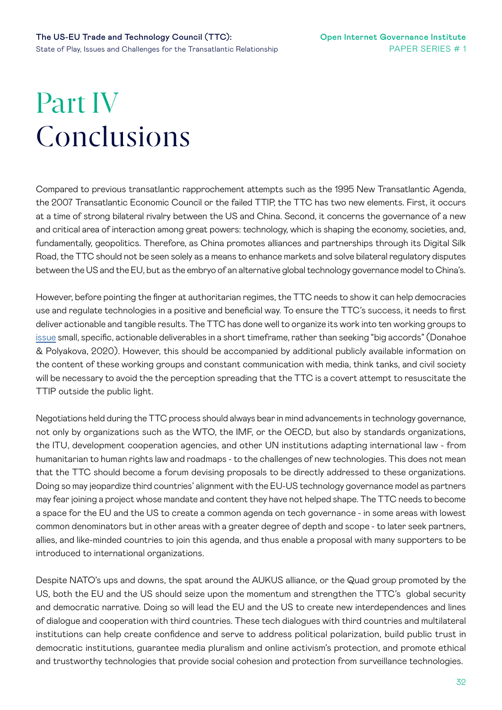# <span id="page-31-0"></span>Part IV Conclusions

Compared to previous transatlantic rapprochement attempts such as the 1995 New Transatlantic Agenda, the 2007 Transatlantic Economic Council or the failed TTIP, the TTC has two new elements. First, it occurs at a time of strong bilateral rivalry between the US and China. Second, it concerns the governance of a new and critical area of interaction among great powers: technology, which is shaping the economy, societies, and, fundamentally, geopolitics. Therefore, as China promotes alliances and partnerships through its Digital Silk Road, the TTC should not be seen solely as a means to enhance markets and solve bilateral regulatory disputes between the US and the EU, but as the embryo of an alternative global technology governance model to China's.

However, before pointing the finger at authoritarian regimes, the TTC needs to show it can help democracies use and regulate technologies in a positive and beneficial way. To ensure the TTC's success, it needs to first deliver actionable and tangible results. The TTC has done well to organize its work into ten working groups to [issue](https://cepa.org/a-transatlantic-effort-to-take-on-china-starts-with-technology/) small, specific, actionable deliverables in a short timeframe, rather than seeking "big accords" (Donahoe & Polyakova, 2020). However, this should be accompanied by additional publicly available information on the content of these working groups and constant communication with media, think tanks, and civil society will be necessary to avoid the the perception spreading that the TTC is a covert attempt to resuscitate the TTIP outside the public light.

Negotiations held during the TTC process should always bear in mind advancements in technology governance, not only by organizations such as the WTO, the IMF, or the OECD, but also by standards organizations, the ITU, development cooperation agencies, and other UN institutions adapting international law - from humanitarian to human rights law and roadmaps - to the challenges of new technologies. This does not mean that the TTC should become a forum devising proposals to be directly addressed to these organizations. Doing so may jeopardize third countries' alignment with the EU-US technology governance model as partners may fear joining a project whose mandate and content they have not helped shape. The TTC needs to become a space for the EU and the US to create a common agenda on tech governance - in some areas with lowest common denominators but in other areas with a greater degree of depth and scope - to later seek partners, allies, and like-minded countries to join this agenda, and thus enable a proposal with many supporters to be introduced to international organizations.

Despite NATO's ups and downs, the spat around the AUKUS alliance, or the Quad group promoted by the US, both the EU and the US should seize upon the momentum and strengthen the TTC's global security and democratic narrative. Doing so will lead the EU and the US to create new interdependences and lines of dialogue and cooperation with third countries. These tech dialogues with third countries and multilateral institutions can help create confidence and serve to address political polarization, build public trust in democratic institutions, guarantee media pluralism and online activism's protection, and promote ethical and trustworthy technologies that provide social cohesion and protection from surveillance technologies.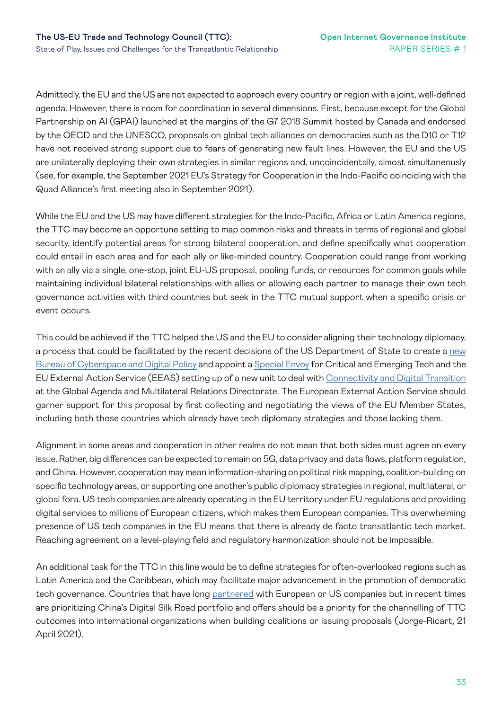Admittedly, the EU and the US are not expected to approach every country or region with a joint, well-defined agenda. However, there is room for coordination in several dimensions. First, because except for the Global Partnership on AI (GPAI) launched at the margins of the G7 2018 Summit hosted by Canada and endorsed by the OECD and the UNESCO, proposals on global tech alliances on democracies such as the D10 or T12 have not received strong support due to fears of generating new fault lines. However, the EU and the US are unilaterally deploying their own strategies in similar regions and, uncoincidentally, almost simultaneously (see, for example, the September 2021 EU's Strategy for Cooperation in the Indo-Pacific coinciding with the Quad Alliance's first meeting also in September 2021).

While the EU and the US may have different strategies for the Indo-Pacific, Africa or Latin America regions, the TTC may become an opportune setting to map common risks and threats in terms of regional and global security, identify potential areas for strong bilateral cooperation, and define specifically what cooperation could entail in each area and for each ally or like-minded country. Cooperation could range from working with an ally via a single, one-stop, joint EU-US proposal, pooling funds, or resources for common goals while maintaining individual bilateral relationships with allies or allowing each partner to manage their own tech governance activities with third countries but seek in the TTC mutual support when a specific crisis or event occurs.

This could be achieved if the TTC helped the US and the EU to consider aligning their technology diplomacy, a process that could be facilitated by the recent decisions of the US Department of State to create a [new](https://www.wsj.com/articles/state-department-to-form-new-cyber-office-to-face-proliferating-global-challenges-11635176700?utm_campaign=TechStream&utm_medium=email&utm_content=176163788&utm_source=hs_email)  [Bureau of Cyberspace and Digital Policy](https://www.wsj.com/articles/state-department-to-form-new-cyber-office-to-face-proliferating-global-challenges-11635176700?utm_campaign=TechStream&utm_medium=email&utm_content=176163788&utm_source=hs_email) and appoint a [Special Envoy](https://twitter.com/DeputySecState/status/1453421206561083393?s=20) for Critical and Emerging Tech and the EU External Action Service (EEAS) setting up of a new unit to deal with [Connectivity and Digital Transition](https://op.europa.eu/en/web/who-is-who/organization/-/organization/EEAS/EEAS_CRF_250687)  at the Global Agenda and Multilateral Relations Directorate. The European External Action Service should garner support for this proposal by first collecting and negotiating the views of the EU Member States, including both those countries which already have tech diplomacy strategies and those lacking them.

Alignment in some areas and cooperation in other realms do not mean that both sides must agree on every issue. Rather, big differences can be expected to remain on 5G, data privacy and data flows, platform regulation, and China. However, cooperation may mean information-sharing on political risk mapping, coalition-building on specific technology areas, or supporting one another's public diplomacy strategies in regional, multilateral, or global fora. US tech companies are already operating in the EU territory under EU regulations and providing digital services to millions of European citizens, which makes them European companies. This overwhelming presence of US tech companies in the EU means that there is already de facto transatlantic tech market. Reaching agreement on a level-playing field and regulatory harmonization should not be impossible.

An additional task for the TTC in this line would be to define strategies for often-overlooked regions such as Latin America and the Caribbean, which may facilitate major advancement in the promotion of democratic tech governance. Countries that have long [partnered](https://blog.realinstitutoelcano.org/en/chinas-digital-silk-road-in-latin-america-and-the-caribbean/) with European or US companies but in recent times are prioritizing China's Digital Silk Road portfolio and offers should be a priority for the channelling of TTC outcomes into international organizations when building coalitions or issuing proposals (Jorge-Ricart, 21 April 2021).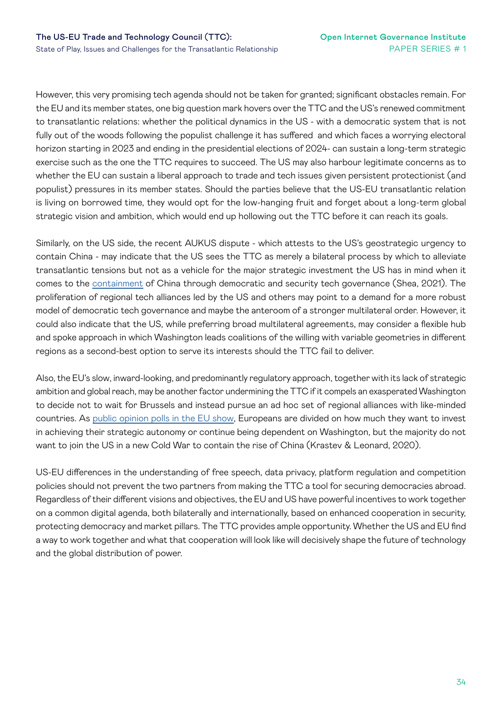However, this very promising tech agenda should not be taken for granted; significant obstacles remain. For the EU and its member states, one big question mark hovers over the TTC and the US's renewed commitment to transatlantic relations: whether the political dynamics in the US - with a democratic system that is not fully out of the woods following the populist challenge it has suffered and which faces a worrying electoral horizon starting in 2023 and ending in the presidential elections of 2024- can sustain a long-term strategic exercise such as the one the TTC requires to succeed. The US may also harbour legitimate concerns as to whether the EU can sustain a liberal approach to trade and tech issues given persistent protectionist (and populist) pressures in its member states. Should the parties believe that the US-EU transatlantic relation is living on borrowed time, they would opt for the low-hanging fruit and forget about a long-term global strategic vision and ambition, which would end up hollowing out the TTC before it can reach its goals.

Similarly, on the US side, the recent AUKUS dispute - which attests to the US's geostrategic urgency to contain China - may indicate that the US sees the TTC as merely a bilateral process by which to alleviate transatlantic tensions but not as a vehicle for the major strategic investment the US has in mind when it comes to the [containment](https://www.friendsofeurope.org/insights/the-aukus-deal-a-moment-of-truth-for-europe-and-for-security-in-the-indo-pacific-region/) of China through democratic and security tech governance (Shea, 2021). The proliferation of regional tech alliances led by the US and others may point to a demand for a more robust model of democratic tech governance and maybe the anteroom of a stronger multilateral order. However, it could also indicate that the US, while preferring broad multilateral agreements, may consider a flexible hub and spoke approach in which Washington leads coalitions of the willing with variable geometries in different regions as a second-best option to serve its interests should the TTC fail to deliver.

Also, the EU's slow, inward-looking, and predominantly regulatory approach, together with its lack of strategic ambition and global reach, may be another factor undermining the TTC if it compels an exasperated Washington to decide not to wait for Brussels and instead pursue an ad hoc set of regional alliances with like-minded countries. As [public opinion polls in the EU show](https://ecfr.eu/publication/what-europeans-think-about-the-us-china-cold-war/), Europeans are divided on how much they want to invest in achieving their strategic autonomy or continue being dependent on Washington, but the majority do not want to join the US in a new Cold War to contain the rise of China (Krastev & Leonard, 2020).

US-EU differences in the understanding of free speech, data privacy, platform regulation and competition policies should not prevent the two partners from making the TTC a tool for securing democracies abroad. Regardless of their different visions and objectives, the EU and US have powerful incentives to work together on a common digital agenda, both bilaterally and internationally, based on enhanced cooperation in security, protecting democracy and market pillars. The TTC provides ample opportunity. Whether the US and EU find a way to work together and what that cooperation will look like will decisively shape the future of technology and the global distribution of power.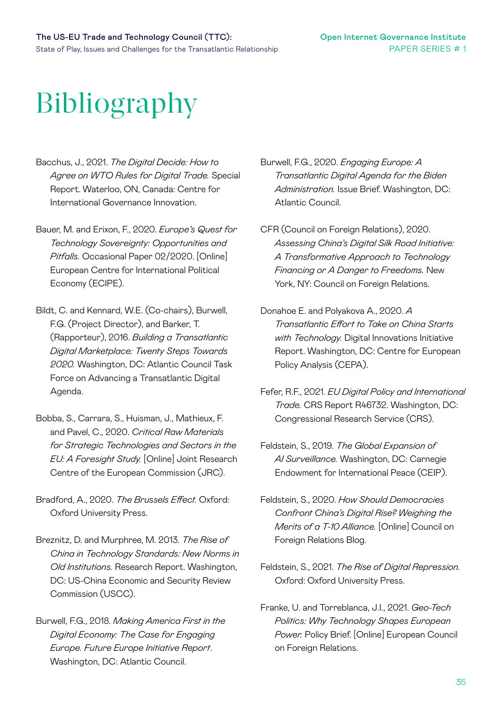# Bibliography

- Bacchus, J., 2021. *The Digital Decide: How to Agree on WTO Rules for Digital Trade.* Special Report. Waterloo, ON, Canada: Centre for International Governance Innovation.
- Bauer, M. and Erixon, F., 2020. *Europe's Quest for Technology Sovereignty: Opportunities and Pitfalls.* Occasional Paper 02/2020. [Online] European Centre for International Political Economy (ECIPE).
- Bildt, C. and Kennard, W.E. (Co-chairs), Burwell, F.G. (Project Director), and Barker, T. (Rapporteur), 2016. *Building a Transatlantic Digital Marketplace: Twenty Steps Towards 2020.* Washington, DC: Atlantic Council Task Force on Advancing a Transatlantic Digital Agenda.
- Bobba, S., Carrara, S., Huisman, J., Mathieux, F. and Pavel, C., 2020. *Critical Raw Materials for Strategic Technologies and Sectors in the EU: A Foresight Study.* [Online] Joint Research Centre of the European Commission (JRC).
- Bradford, A., 2020. *The Brussels Effect.* Oxford: Oxford University Press.
- Breznitz, D. and Murphree, M. 2013. *The Rise of China in Technology Standards: New Norms in Old Institutions.* Research Report. Washington, DC: US-China Economic and Security Review Commission (USCC).
- Burwell, F.G., 2018. *Making America First in the Digital Economy: The Case for Engaging Europe. Future Europe Initiative Report*. Washington, DC: Atlantic Council.

Burwell, F.G., 2020. *Engaging Europe: A Transatlantic Digital Agenda for the Biden Administration.* Issue Brief. Washington, DC: Atlantic Council.

- CFR (Council on Foreign Relations), 2020. *Assessing China's Digital Silk Road Initiative: A Transformative Approach to Technology Financing or A Danger to Freedoms.* New York, NY: Council on Foreign Relations.
- Donahoe E. and Polyakova A., 2020. *A Transatlantic Effort to Take on China Starts with Technology.* Digital Innovations Initiative Report. Washington, DC: Centre for European Policy Analysis (CEPA).
- Fefer, R.F., 2021. *EU Digital Policy and International Trade.* CRS Report R46732. Washington, DC: Congressional Research Service (CRS).
- Feldstein, S., 2019. *The Global Expansion of AI Surveillance.* Washington, DC: Carnegie Endowment for International Peace (CEIP).
- Feldstein, S., 2020. *How Should Democracies Confront China's Digital Rise? Weighing the Merits of a T-10 Alliance.* [Online] Council on Foreign Relations Blog.
- Feldstein, S., 2021. *The Rise of Digital Repression.* Oxford: Oxford University Press.
- Franke, U. and Torreblanca, J.I., 2021. *Geo-Tech Politics: Why Technology Shapes European Power.* Policy Brief. [Online] European Council on Foreign Relations.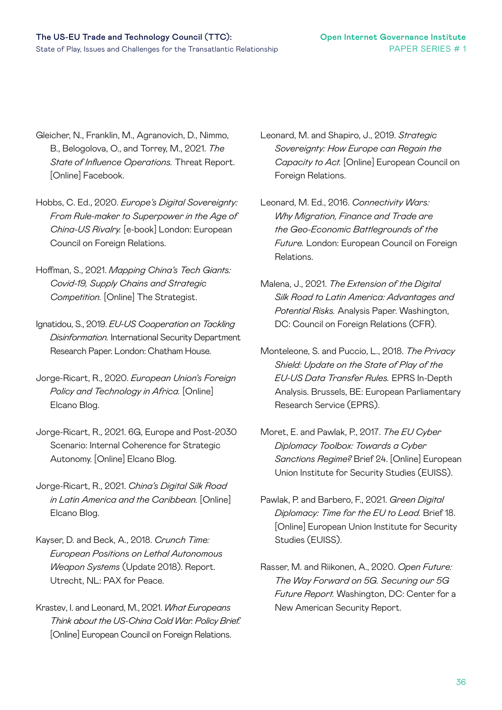- Gleicher, N., Franklin, M., Agranovich, D., Nimmo, B., Belogolova, O., and Torrey, M., 2021. *The State of Influence Operations.* Threat Report. [Online] Facebook.
- Hobbs, C. Ed., 2020. *Europe's Digital Sovereignty: From Rule-maker to Superpower in the Age of China-US Rivalry.* [e-book] London: European Council on Foreign Relations.
- Hoffman, S., 2021. *Mapping China's Tech Giants: Covid-19, Supply Chains and Strategic Competition.* [Online] The Strategist.
- Ignatidou, S., 2019. *EU-US Cooperation on Tackling Disinformation.* International Security Department Research Paper. London: Chatham House.
- Jorge-Ricart, R., 2020. *European Union's Foreign Policy and Technology in Africa.* [Online] Elcano Blog.
- Jorge-Ricart, R., 2021. 6G, Europe and Post-2030 Scenario: Internal Coherence for Strategic Autonomy. [Online] Elcano Blog.
- Jorge-Ricart, R., 2021. *China's Digital Silk Road in Latin America and the Caribbean.* [Online] Elcano Blog.
- Kayser, D. and Beck, A., 2018. *Crunch Time: European Positions on Lethal Autonomous Weapon Systems* (Update 2018). Report. Utrecht, NL: PAX for Peace.
- Krastev, I. and Leonard, M., 2021. *What Europeans Think about the US-China Cold War. Policy Brief.*  [Online] European Council on Foreign Relations.
- Leonard, M. and Shapiro, J., 2019. *Strategic Sovereignty: How Europe can Regain the Capacity to Act.* [Online] European Council on Foreign Relations.
- Leonard, M. Ed., 2016. *Connectivity Wars: Why Migration, Finance and Trade are the Geo-Economic Battlegrounds of the Future.* London: European Council on Foreign Relations.
- Malena, J., 2021. *The Extension of the Digital Silk Road to Latin America: Advantages and Potential Risks.* Analysis Paper. Washington, DC: Council on Foreign Relations (CFR).
- Monteleone, S. and Puccio, L., 2018. *The Privacy Shield: Update on the State of Play of the EU-US Data Transfer Rules.* EPRS In-Depth Analysis. Brussels, BE: European Parliamentary Research Service (EPRS).
- Moret, E. and Pawlak, P., 2017. *The EU Cyber Diplomacy Toolbox: Towards a Cyber Sanctions Regime?* Brief 24. [Online] European Union Institute for Security Studies (EUISS).
- Pawlak, P. and Barbero, F., 2021. *Green Digital Diplomacy: Time for the EU to Lead.* Brief 18. [Online] European Union Institute for Security Studies (EUISS).
- Rasser, M. and Riikonen, A., 2020. *Open Future: The Way Forward on 5G. Securing our 5G Future Report.* Washington, DC: Center for a New American Security Report.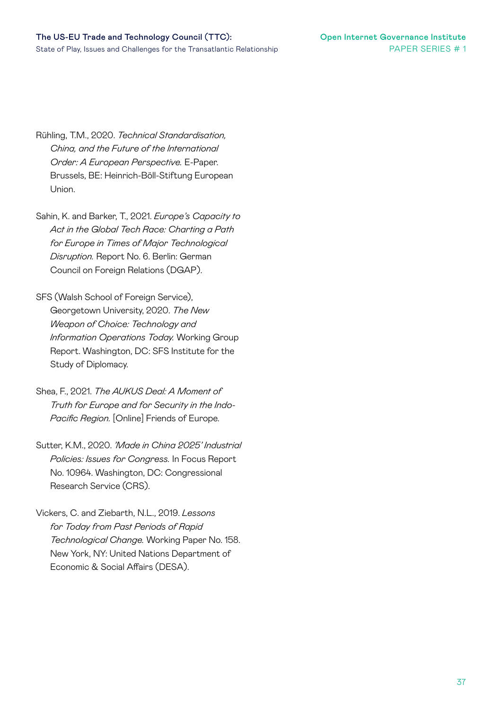- Rühling, T.M., 2020. *Technical Standardisation, China, and the Future of the International Order: A European Perspective.* E-Paper. Brussels, BE: Heinrich-Böll-Stiftung European Union.
- Sahin, K. and Barker, T., 2021. *Europe's Capacity to Act in the Global Tech Race: Charting a Path for Europe in Times of Major Technological Disruption.* Report No. 6. Berlin: German Council on Foreign Relations (DGAP).
- SFS (Walsh School of Foreign Service), Georgetown University, 2020. *The New Weapon of Choice: Technology and Information Operations Today.* Working Group Report. Washington, DC: SFS Institute for the Study of Diplomacy.
- Shea, F., 2021. *The AUKUS Deal: A Moment of Truth for Europe and for Security in the Indo-Pacific Region.* [Online] Friends of Europe.
- Sutter, K.M., 2020. *'Made in China 2025' Industrial Policies: Issues for Congress.* In Focus Report No. 10964. Washington, DC: Congressional Research Service (CRS).
- Vickers, C. and Ziebarth, N.L., 2019. *Lessons for Today from Past Periods of Rapid Technological Change.* Working Paper No. 158. New York, NY: United Nations Department of Economic & Social Affairs (DESA).